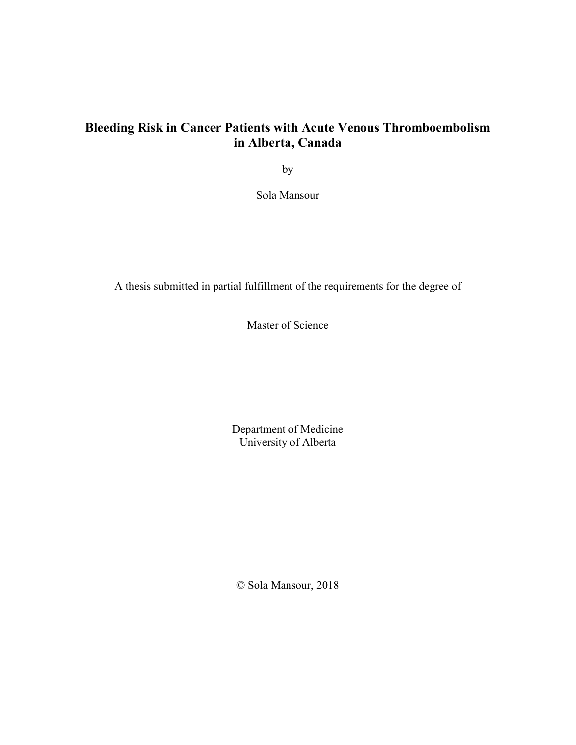## **Bleeding Risk in Cancer Patients with Acute Venous Thromboembolism in Alberta, Canada**

by

Sola Mansour

A thesis submitted in partial fulfillment of the requirements for the degree of

Master of Science

Department of Medicine University of Alberta

© Sola Mansour, 2018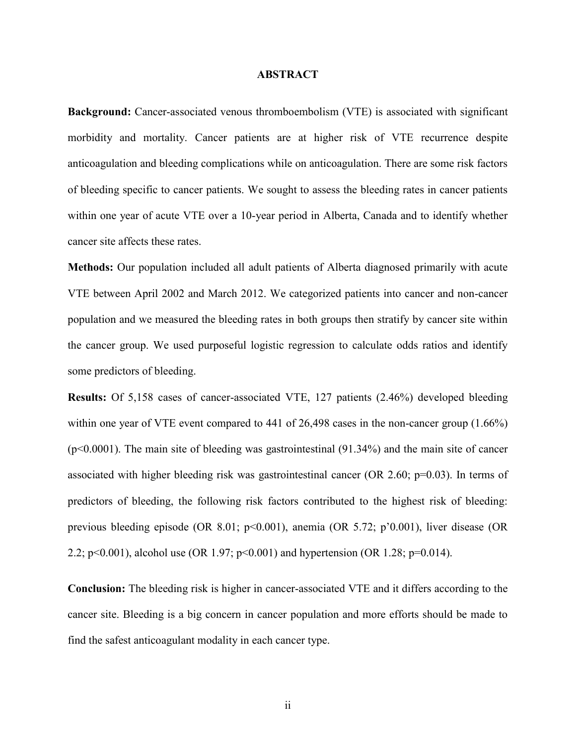## **ABSTRACT**

**Background:** Cancer-associated venous thromboembolism (VTE) is associated with significant morbidity and mortality. Cancer patients are at higher risk of VTE recurrence despite anticoagulation and bleeding complications while on anticoagulation. There are some risk factors of bleeding specific to cancer patients. We sought to assess the bleeding rates in cancer patients within one year of acute VTE over a 10-year period in Alberta, Canada and to identify whether cancer site affects these rates.

**Methods:** Our population included all adult patients of Alberta diagnosed primarily with acute VTE between April 2002 and March 2012. We categorized patients into cancer and non-cancer population and we measured the bleeding rates in both groups then stratify by cancer site within the cancer group. We used purposeful logistic regression to calculate odds ratios and identify some predictors of bleeding.

**Results:** Of 5,158 cases of cancer-associated VTE, 127 patients (2.46%) developed bleeding within one year of VTE event compared to 441 of 26,498 cases in the non-cancer group (1.66%)  $(p<0.0001)$ . The main site of bleeding was gastrointestinal  $(91.34\%)$  and the main site of cancer associated with higher bleeding risk was gastrointestinal cancer (OR 2.60; p=0.03). In terms of predictors of bleeding, the following risk factors contributed to the highest risk of bleeding: previous bleeding episode (OR 8.01; p<0.001), anemia (OR 5.72; p'0.001), liver disease (OR 2.2; p<0.001), alcohol use (OR 1.97; p<0.001) and hypertension (OR 1.28; p=0.014).

**Conclusion:** The bleeding risk is higher in cancer-associated VTE and it differs according to the cancer site. Bleeding is a big concern in cancer population and more efforts should be made to find the safest anticoagulant modality in each cancer type.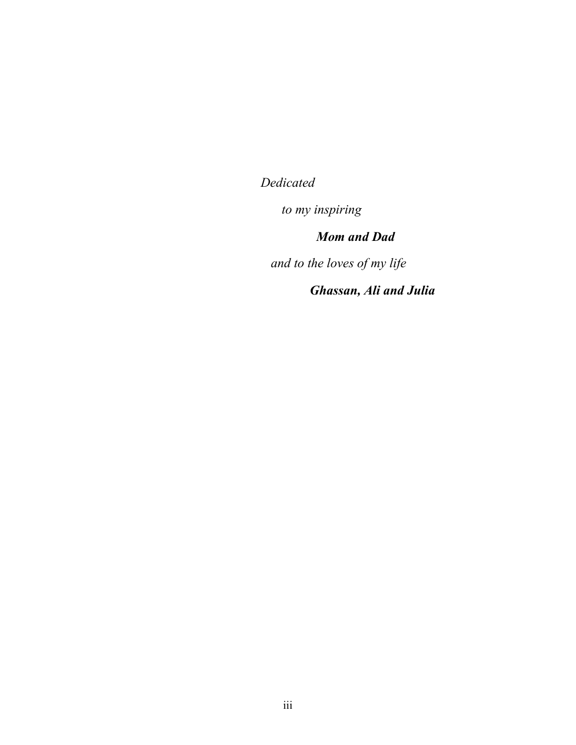*Dedicated*

*to my inspiring*

*Mom and Dad*

*and to the loves of my life*

*Ghassan, Ali and Julia*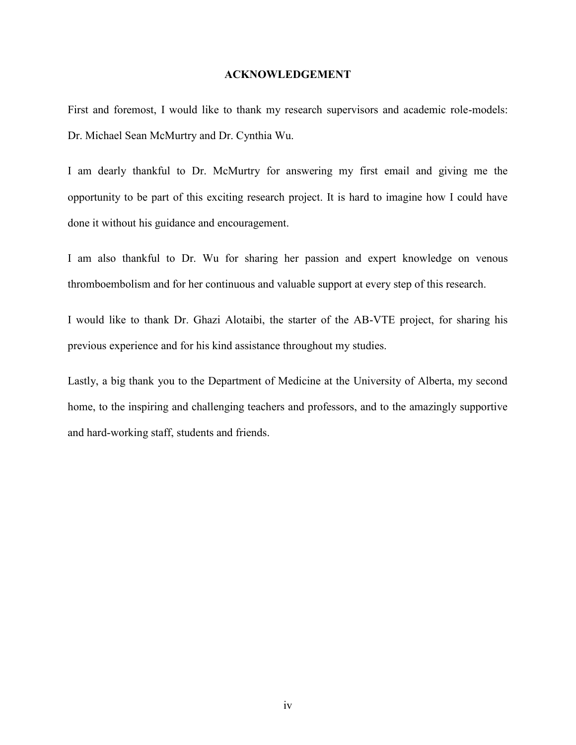#### **ACKNOWLEDGEMENT**

First and foremost, I would like to thank my research supervisors and academic role-models: Dr. Michael Sean McMurtry and Dr. Cynthia Wu.

I am dearly thankful to Dr. McMurtry for answering my first email and giving me the opportunity to be part of this exciting research project. It is hard to imagine how I could have done it without his guidance and encouragement.

I am also thankful to Dr. Wu for sharing her passion and expert knowledge on venous thromboembolism and for her continuous and valuable support at every step of this research.

I would like to thank Dr. Ghazi Alotaibi, the starter of the AB-VTE project, for sharing his previous experience and for his kind assistance throughout my studies.

Lastly, a big thank you to the Department of Medicine at the University of Alberta, my second home, to the inspiring and challenging teachers and professors, and to the amazingly supportive and hard-working staff, students and friends.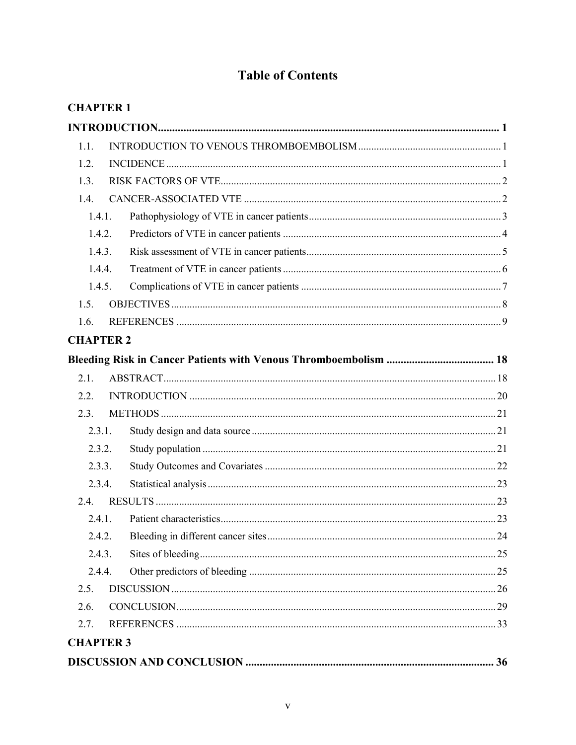# **Table of Contents**

| <b>CHAPTER 1</b> |  |
|------------------|--|
|                  |  |
| 1.1.             |  |
| 1.2.             |  |
| 1.3.             |  |
| 1.4.             |  |
| 1.4.1.           |  |
| 1.4.2.           |  |
| 1.4.3.           |  |
| 1.4.4.           |  |
| 1.4.5.           |  |
| 1.5.             |  |
| 1.6.             |  |
| <b>CHAPTER 2</b> |  |
|                  |  |
| 2.1.             |  |
| 2.2.             |  |
| 2.3.             |  |
| 2.3.1.           |  |
| 2.3.2.           |  |
| 2.3.3.           |  |
| 2.3.4.           |  |
| 2.4.             |  |
|                  |  |
| 2.4.2.           |  |
| 2.4.3.           |  |
| 2.4.4.           |  |
| 2.5.             |  |
| 2.6.             |  |
| 2.7.             |  |
| <b>CHAPTER 3</b> |  |
|                  |  |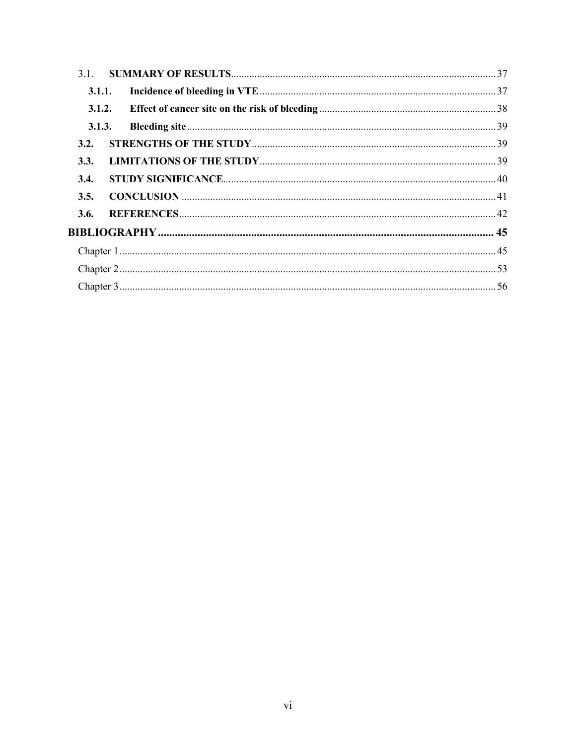| 3.1.   |  |  |
|--------|--|--|
| 3.1.1. |  |  |
| 3.1.2. |  |  |
| 3.1.3. |  |  |
| 3.2.   |  |  |
| 3.3.   |  |  |
| 3.4.   |  |  |
| 3.5.   |  |  |
| 3.6.   |  |  |
|        |  |  |
|        |  |  |
|        |  |  |
|        |  |  |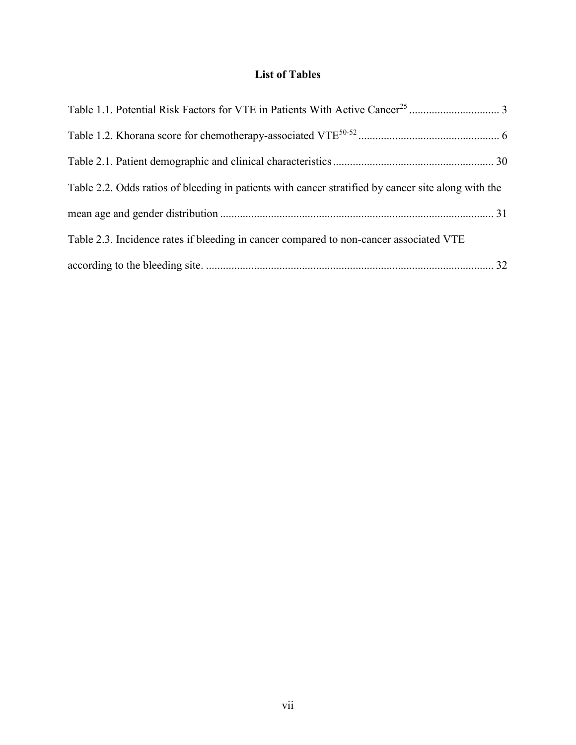## **List of Tables**

| Table 2.2. Odds ratios of bleeding in patients with cancer stratified by cancer site along with the |
|-----------------------------------------------------------------------------------------------------|
|                                                                                                     |
| Table 2.3. Incidence rates if bleeding in cancer compared to non-cancer associated VTE              |
|                                                                                                     |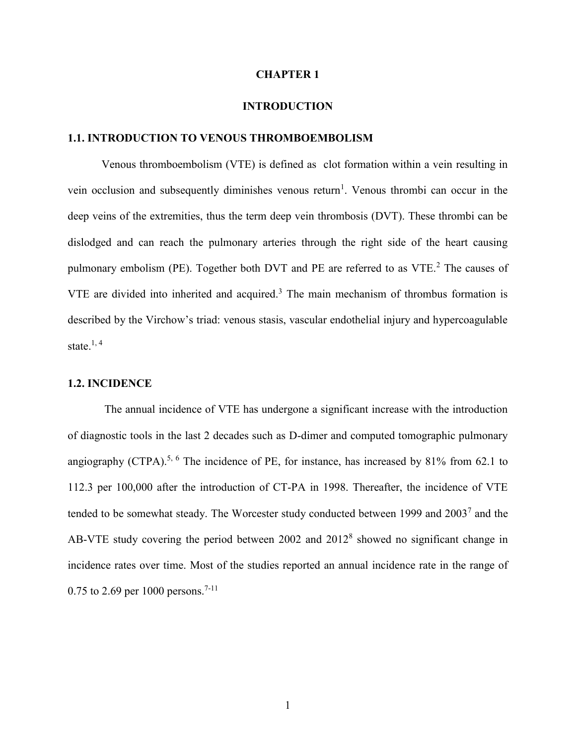## **CHAPTER 1**

## **INTRODUCTION**

### <span id="page-7-2"></span><span id="page-7-1"></span><span id="page-7-0"></span>**1.1. INTRODUCTION TO VENOUS THROMBOEMBOLISM**

Venous thromboembolism (VTE) is defined as clot formation within a vein resulting in vein occlusion and subsequently diminishes venous return<sup>1</sup>. Venous thrombi can occur in the deep veins of the extremities, thus the term deep vein thrombosis (DVT). These thrombi can be dislodged and can reach the pulmonary arteries through the right side of the heart causing pulmonary embolism (PE). Together both DVT and PE are referred to as VTE.<sup>2</sup> The causes of  $VTE$  are divided into inherited and acquired.<sup>3</sup> The main mechanism of thrombus formation is described by the Virchow's triad: venous stasis, vascular endothelial injury and hypercoagulable state. $1, 4$ 

## <span id="page-7-3"></span>**1.2. INCIDENCE**

The annual incidence of VTE has undergone a significant increase with the introduction of diagnostic tools in the last 2 decades such as D-dimer and computed tomographic pulmonary angiography (CTPA).<sup>5, 6</sup> The incidence of PE, for instance, has increased by 81% from 62.1 to 112.3 per 100,000 after the introduction of CT-PA in 1998. Thereafter, the incidence of VTE tended to be somewhat steady. The Worcester study conducted between 1999 and  $2003<sup>7</sup>$  and the AB-VTE study covering the period between  $2002$  and  $2012<sup>8</sup>$  showed no significant change in incidence rates over time. Most of the studies reported an annual incidence rate in the range of 0.75 to 2.69 per 1000 persons.<sup>7-11</sup>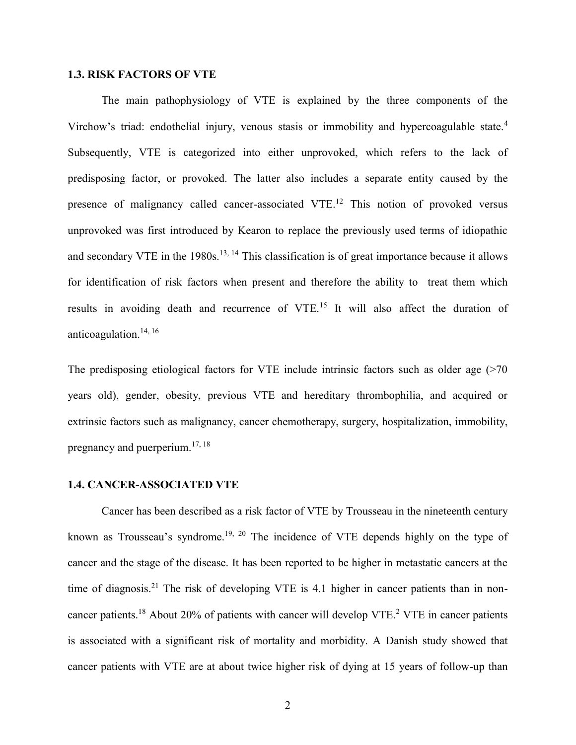## <span id="page-8-0"></span>**1.3. RISK FACTORS OF VTE**

The main pathophysiology of VTE is explained by the three components of the Virchow's triad: endothelial injury, venous stasis or immobility and hypercoagulable state.<sup>4</sup> Subsequently, VTE is categorized into either unprovoked, which refers to the lack of predisposing factor, or provoked. The latter also includes a separate entity caused by the presence of malignancy called cancer-associated VTE.<sup>12</sup> This notion of provoked versus unprovoked was first introduced by Kearon to replace the previously used terms of idiopathic and secondary VTE in the 1980s.<sup>13, 14</sup> This classification is of great importance because it allows for identification of risk factors when present and therefore the ability to treat them which results in avoiding death and recurrence of VTE.<sup>15</sup> It will also affect the duration of anticoagulation. $14, 16$ 

The predisposing etiological factors for VTE include intrinsic factors such as older age (>70 years old), gender, obesity, previous VTE and hereditary thrombophilia, and acquired or extrinsic factors such as malignancy, cancer chemotherapy, surgery, hospitalization, immobility, pregnancy and puerperium.17, 18

#### <span id="page-8-1"></span>**1.4. CANCER-ASSOCIATED VTE**

Cancer has been described as a risk factor of VTE by Trousseau in the nineteenth century known as Trousseau's syndrome.<sup>19, 20</sup> The incidence of VTE depends highly on the type of cancer and the stage of the disease. It has been reported to be higher in metastatic cancers at the time of diagnosis.<sup>21</sup> The risk of developing VTE is 4.1 higher in cancer patients than in noncancer patients.<sup>18</sup> About 20% of patients with cancer will develop VTE.<sup>2</sup> VTE in cancer patients is associated with a significant risk of mortality and morbidity. A Danish study showed that cancer patients with VTE are at about twice higher risk of dying at 15 years of follow-up than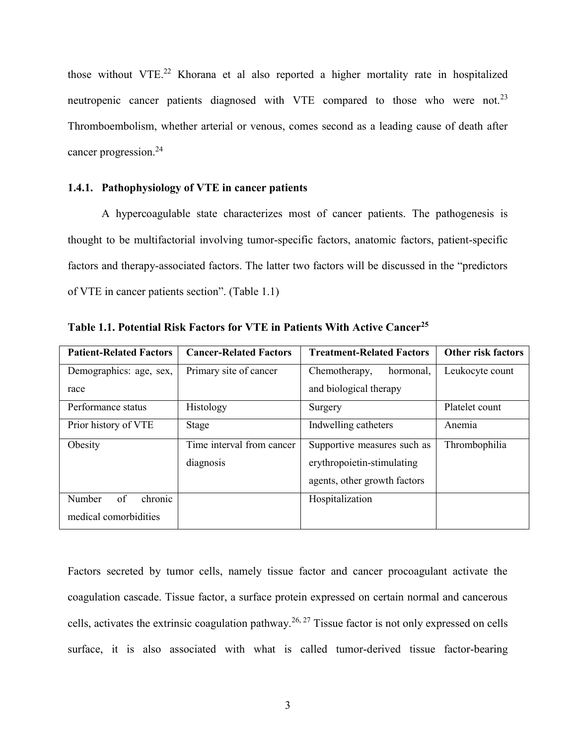those without VTE.<sup>22</sup> Khorana et al also reported a higher mortality rate in hospitalized neutropenic cancer patients diagnosed with VTE compared to those who were not.<sup>23</sup> Thromboembolism, whether arterial or venous, comes second as a leading cause of death after cancer progression.<sup>24</sup>

## <span id="page-9-0"></span>**1.4.1. Pathophysiology of VTE in cancer patients**

A hypercoagulable state characterizes most of cancer patients. The pathogenesis is thought to be multifactorial involving tumor-specific factors, anatomic factors, patient-specific factors and therapy-associated factors. The latter two factors will be discussed in the "predictors of VTE in cancer patients section". (Table 1.1)

| <b>Patient-Related Factors</b> | <b>Cancer-Related Factors</b> | <b>Treatment-Related Factors</b> | <b>Other risk factors</b> |
|--------------------------------|-------------------------------|----------------------------------|---------------------------|
| Demographics: age, sex,        | Primary site of cancer        | Chemotherapy,<br>hormonal,       | Leukocyte count           |
| race                           |                               | and biological therapy           |                           |
| Performance status             | Histology                     | Surgery                          | Platelet count            |
| Prior history of VTE           | Stage                         | Indwelling catheters             | Anemia                    |
| Obesity                        | Time interval from cancer     | Supportive measures such as      | Thrombophilia             |
|                                | diagnosis                     | erythropoietin-stimulating       |                           |
|                                |                               | agents, other growth factors     |                           |
| of<br>chronic<br>Number        |                               | Hospitalization                  |                           |
| medical comorbidities          |                               |                                  |                           |

<span id="page-9-1"></span>**Table 1.1. Potential Risk Factors for VTE in Patients With Active Cancer<sup>25</sup>**

Factors secreted by tumor cells, namely tissue factor and cancer procoagulant activate the coagulation cascade. Tissue factor, a surface protein expressed on certain normal and cancerous cells, activates the extrinsic coagulation pathway.<sup>26, 27</sup> Tissue factor is not only expressed on cells surface, it is also associated with what is called tumor-derived tissue factor-bearing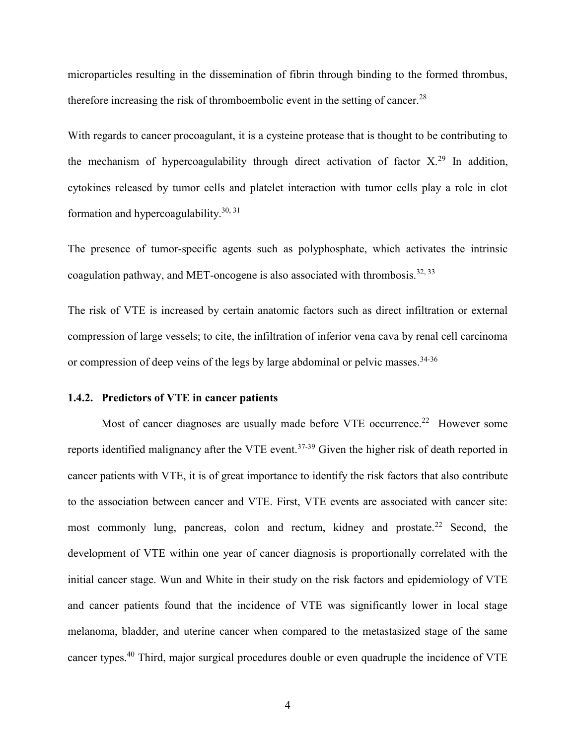microparticles resulting in the dissemination of fibrin through binding to the formed thrombus, therefore increasing the risk of thromboembolic event in the setting of cancer.<sup>28</sup>

With regards to cancer procoagulant, it is a cysteine protease that is thought to be contributing to the mechanism of hypercoagulability through direct activation of factor  $X<sup>29</sup>$  In addition, cytokines released by tumor cells and platelet interaction with tumor cells play a role in clot formation and hypercoagulability.<sup>30, 31</sup>

The presence of tumor-specific agents such as polyphosphate, which activates the intrinsic coagulation pathway, and MET-oncogene is also associated with thrombosis.<sup>32, 33</sup>

The risk of VTE is increased by certain anatomic factors such as direct infiltration or external compression of large vessels; to cite, the infiltration of inferior vena cava by renal cell carcinoma or compression of deep veins of the legs by large abdominal or pelvic masses.<sup>34-36</sup>

## <span id="page-10-0"></span>**1.4.2. Predictors of VTE in cancer patients**

Most of cancer diagnoses are usually made before VTE occurrence.<sup>22</sup> However some reports identified malignancy after the VTE event.<sup>37-39</sup> Given the higher risk of death reported in cancer patients with VTE, it is of great importance to identify the risk factors that also contribute to the association between cancer and VTE. First, VTE events are associated with cancer site: most commonly lung, pancreas, colon and rectum, kidney and prostate.<sup>22</sup> Second, the development of VTE within one year of cancer diagnosis is proportionally correlated with the initial cancer stage. Wun and White in their study on the risk factors and epidemiology of VTE and cancer patients found that the incidence of VTE was significantly lower in local stage melanoma, bladder, and uterine cancer when compared to the metastasized stage of the same cancer types.<sup>40</sup> Third, major surgical procedures double or even quadruple the incidence of VTE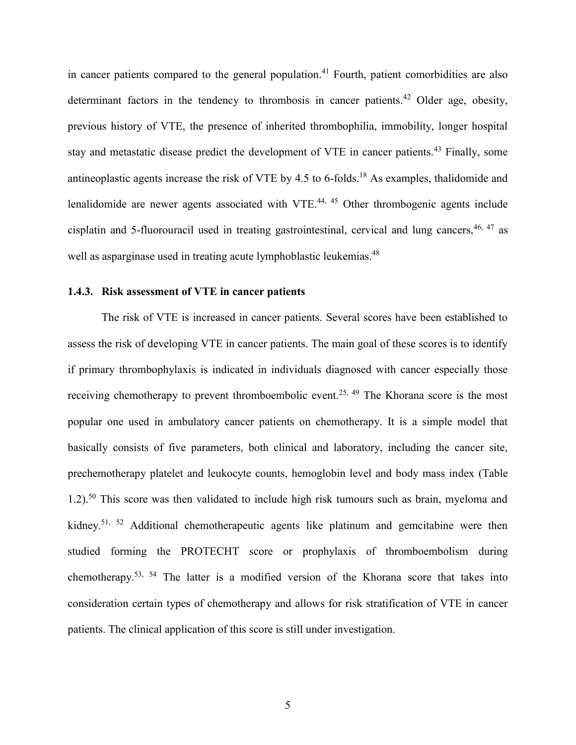in cancer patients compared to the general population.<sup>41</sup> Fourth, patient comorbidities are also determinant factors in the tendency to thrombosis in cancer patients.<sup>42</sup> Older age, obesity, previous history of VTE, the presence of inherited thrombophilia, immobility, longer hospital stay and metastatic disease predict the development of VTE in cancer patients.<sup>43</sup> Finally, some antineoplastic agents increase the risk of VTE by  $4.5$  to 6-folds.<sup>18</sup> As examples, thalidomide and lenalidomide are newer agents associated with VTE.<sup>44, 45</sup> Other thrombogenic agents include cisplatin and 5-fluorouracil used in treating gastrointestinal, cervical and lung cancers,  $46, 47$  as well as asparginase used in treating acute lymphoblastic leukemias.<sup>48</sup>

## <span id="page-11-0"></span>**1.4.3. Risk assessment of VTE in cancer patients**

The risk of VTE is increased in cancer patients. Several scores have been established to assess the risk of developing VTE in cancer patients. The main goal of these scores is to identify if primary thrombophylaxis is indicated in individuals diagnosed with cancer especially those receiving chemotherapy to prevent thromboembolic event.<sup>25, 49</sup> The Khorana score is the most popular one used in ambulatory cancer patients on chemotherapy. It is a simple model that basically consists of five parameters, both clinical and laboratory, including the cancer site, prechemotherapy platelet and leukocyte counts, hemoglobin level and body mass index (Table 1.2).<sup>50</sup> This score was then validated to include high risk tumours such as brain, myeloma and kidney.<sup>51, 52</sup> Additional chemotherapeutic agents like platinum and gemcitabine were then studied forming the PROTECHT score or prophylaxis of thromboembolism during chemotherapy.53, 54 The latter is a modified version of the Khorana score that takes into consideration certain types of chemotherapy and allows for risk stratification of VTE in cancer patients. The clinical application of this score is still under investigation.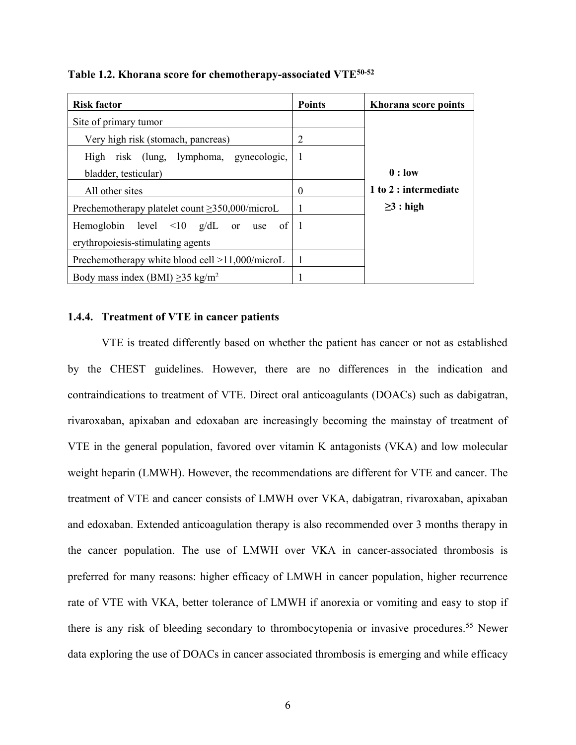<span id="page-12-1"></span>

| Table 1.2. Khorana score for chemotherapy-associated VTE <sup>50-52</sup> |  |  |  |  |  |  |  |
|---------------------------------------------------------------------------|--|--|--|--|--|--|--|
|---------------------------------------------------------------------------|--|--|--|--|--|--|--|

| <b>Risk factor</b>                                   | <b>Points</b> | Khorana score points  |
|------------------------------------------------------|---------------|-----------------------|
| Site of primary tumor                                |               |                       |
| Very high risk (stomach, pancreas)                   | 2             |                       |
| High risk (lung, lymphoma, gynecologic,              | -1            |                       |
| bladder, testicular)                                 |               | $0:$ low              |
| All other sites                                      | $\Omega$      | 1 to 2 : intermediate |
| Prechemotherapy platelet count $\geq$ 350,000/microL | 1             | $\geq$ 3 : high       |
| Hemoglobin level $\leq 10$ g/dL or use of 1          |               |                       |
| erythropoiesis-stimulating agents                    |               |                       |
| Prechemotherapy white blood cell >11,000/microL      | - 1           |                       |
| Body mass index (BMI) $\geq$ 35 kg/m <sup>2</sup>    |               |                       |

## <span id="page-12-0"></span>**1.4.4. Treatment of VTE in cancer patients**

VTE is treated differently based on whether the patient has cancer or not as established by the CHEST guidelines. However, there are no differences in the indication and contraindications to treatment of VTE. Direct oral anticoagulants (DOACs) such as dabigatran, rivaroxaban, apixaban and edoxaban are increasingly becoming the mainstay of treatment of VTE in the general population, favored over vitamin K antagonists (VKA) and low molecular weight heparin (LMWH). However, the recommendations are different for VTE and cancer. The treatment of VTE and cancer consists of LMWH over VKA, dabigatran, rivaroxaban, apixaban and edoxaban. Extended anticoagulation therapy is also recommended over 3 months therapy in the cancer population. The use of LMWH over VKA in cancer-associated thrombosis is preferred for many reasons: higher efficacy of LMWH in cancer population, higher recurrence rate of VTE with VKA, better tolerance of LMWH if anorexia or vomiting and easy to stop if there is any risk of bleeding secondary to thrombocytopenia or invasive procedures.<sup>55</sup> Newer data exploring the use of DOACs in cancer associated thrombosis is emerging and while efficacy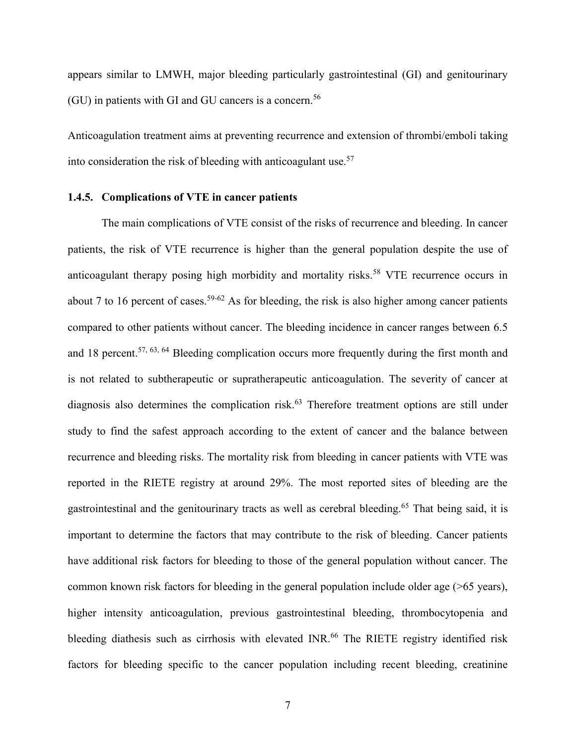appears similar to LMWH, major bleeding particularly gastrointestinal (GI) and genitourinary  $(GU)$  in patients with GI and GU cancers is a concern.<sup>56</sup>

Anticoagulation treatment aims at preventing recurrence and extension of thrombi/emboli taking into consideration the risk of bleeding with anticoagulant use.<sup>57</sup>

#### <span id="page-13-0"></span>**1.4.5. Complications of VTE in cancer patients**

The main complications of VTE consist of the risks of recurrence and bleeding. In cancer patients, the risk of VTE recurrence is higher than the general population despite the use of anticoagulant therapy posing high morbidity and mortality risks.<sup>58</sup> VTE recurrence occurs in about 7 to 16 percent of cases.<sup>59-62</sup> As for bleeding, the risk is also higher among cancer patients compared to other patients without cancer. The bleeding incidence in cancer ranges between 6.5 and 18 percent.<sup>57, 63, 64</sup> Bleeding complication occurs more frequently during the first month and is not related to subtherapeutic or supratherapeutic anticoagulation. The severity of cancer at diagnosis also determines the complication risk.<sup>63</sup> Therefore treatment options are still under study to find the safest approach according to the extent of cancer and the balance between recurrence and bleeding risks. The mortality risk from bleeding in cancer patients with VTE was reported in the RIETE registry at around 29%. The most reported sites of bleeding are the gastrointestinal and the genitourinary tracts as well as cerebral bleeding.<sup>65</sup> That being said, it is important to determine the factors that may contribute to the risk of bleeding. Cancer patients have additional risk factors for bleeding to those of the general population without cancer. The common known risk factors for bleeding in the general population include older age (>65 years), higher intensity anticoagulation, previous gastrointestinal bleeding, thrombocytopenia and bleeding diathesis such as cirrhosis with elevated INR.<sup>66</sup> The RIETE registry identified risk factors for bleeding specific to the cancer population including recent bleeding, creatinine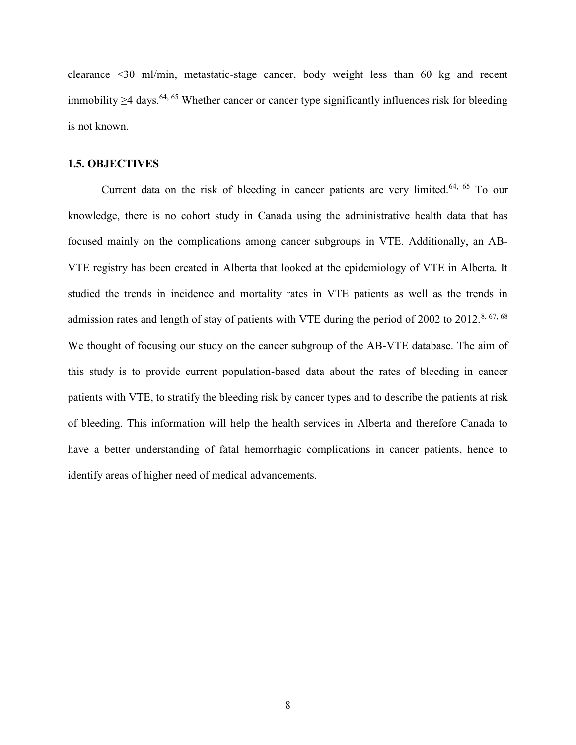clearance <30 ml/min, metastatic-stage cancer, body weight less than 60 kg and recent immobility >4 days.<sup>64, 65</sup> Whether cancer or cancer type significantly influences risk for bleeding is not known.

## <span id="page-14-0"></span>**1.5. OBJECTIVES**

Current data on the risk of bleeding in cancer patients are very limited.<sup>64, 65</sup> To our knowledge, there is no cohort study in Canada using the administrative health data that has focused mainly on the complications among cancer subgroups in VTE. Additionally, an AB-VTE registry has been created in Alberta that looked at the epidemiology of VTE in Alberta. It studied the trends in incidence and mortality rates in VTE patients as well as the trends in admission rates and length of stay of patients with VTE during the period of 2002 to 2012.<sup>8, 67, 68</sup> We thought of focusing our study on the cancer subgroup of the AB-VTE database. The aim of this study is to provide current population-based data about the rates of bleeding in cancer patients with VTE, to stratify the bleeding risk by cancer types and to describe the patients at risk of bleeding. This information will help the health services in Alberta and therefore Canada to have a better understanding of fatal hemorrhagic complications in cancer patients, hence to identify areas of higher need of medical advancements.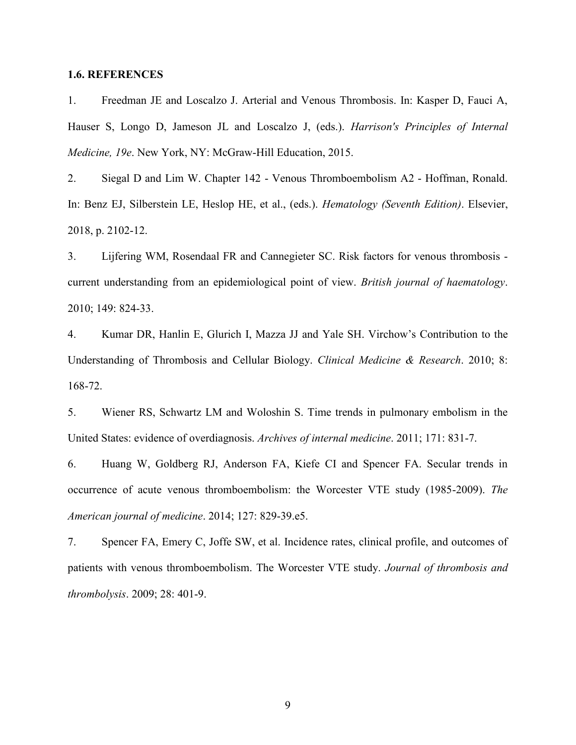## <span id="page-15-0"></span>**1.6. REFERENCES**

1. Freedman JE and Loscalzo J. Arterial and Venous Thrombosis. In: Kasper D, Fauci A, Hauser S, Longo D, Jameson JL and Loscalzo J, (eds.). *Harrison's Principles of Internal Medicine, 19e*. New York, NY: McGraw-Hill Education, 2015.

2. Siegal D and Lim W. Chapter 142 - Venous Thromboembolism A2 - Hoffman, Ronald. In: Benz EJ, Silberstein LE, Heslop HE, et al., (eds.). *Hematology (Seventh Edition)*. Elsevier, 2018, p. 2102-12.

3. Lijfering WM, Rosendaal FR and Cannegieter SC. Risk factors for venous thrombosis current understanding from an epidemiological point of view. *British journal of haematology*. 2010; 149: 824-33.

4. Kumar DR, Hanlin E, Glurich I, Mazza JJ and Yale SH. Virchow's Contribution to the Understanding of Thrombosis and Cellular Biology. *Clinical Medicine & Research*. 2010; 8: 168-72.

5. Wiener RS, Schwartz LM and Woloshin S. Time trends in pulmonary embolism in the United States: evidence of overdiagnosis. *Archives of internal medicine*. 2011; 171: 831-7.

6. Huang W, Goldberg RJ, Anderson FA, Kiefe CI and Spencer FA. Secular trends in occurrence of acute venous thromboembolism: the Worcester VTE study (1985-2009). *The American journal of medicine*. 2014; 127: 829-39.e5.

7. Spencer FA, Emery C, Joffe SW, et al. Incidence rates, clinical profile, and outcomes of patients with venous thromboembolism. The Worcester VTE study. *Journal of thrombosis and thrombolysis*. 2009; 28: 401-9.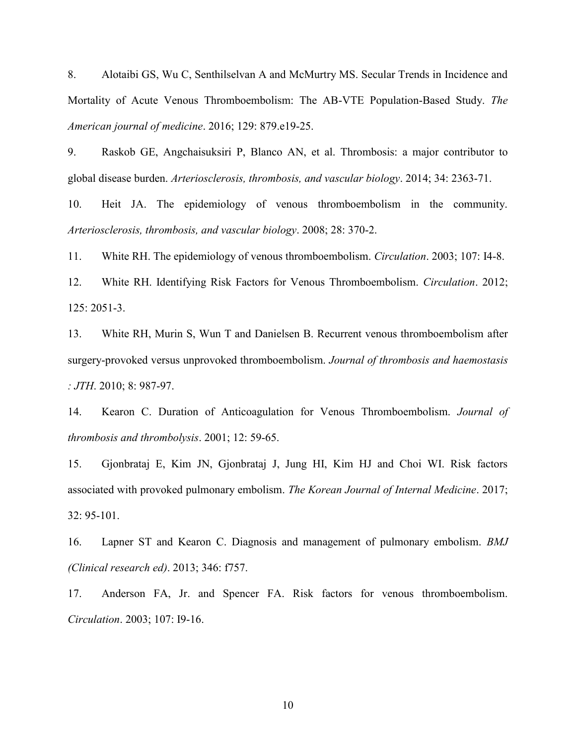8. Alotaibi GS, Wu C, Senthilselvan A and McMurtry MS. Secular Trends in Incidence and Mortality of Acute Venous Thromboembolism: The AB-VTE Population-Based Study. *The American journal of medicine*. 2016; 129: 879.e19-25.

9. Raskob GE, Angchaisuksiri P, Blanco AN, et al. Thrombosis: a major contributor to global disease burden. *Arteriosclerosis, thrombosis, and vascular biology*. 2014; 34: 2363-71.

10. Heit JA. The epidemiology of venous thromboembolism in the community. *Arteriosclerosis, thrombosis, and vascular biology*. 2008; 28: 370-2.

11. White RH. The epidemiology of venous thromboembolism. *Circulation*. 2003; 107: I4-8.

12. White RH. Identifying Risk Factors for Venous Thromboembolism. *Circulation*. 2012; 125: 2051-3.

13. White RH, Murin S, Wun T and Danielsen B. Recurrent venous thromboembolism after surgery-provoked versus unprovoked thromboembolism. *Journal of thrombosis and haemostasis : JTH*. 2010; 8: 987-97.

14. Kearon C. Duration of Anticoagulation for Venous Thromboembolism. *Journal of thrombosis and thrombolysis*. 2001; 12: 59-65.

15. Gjonbrataj E, Kim JN, Gjonbrataj J, Jung HI, Kim HJ and Choi WI. Risk factors associated with provoked pulmonary embolism. *The Korean Journal of Internal Medicine*. 2017; 32: 95-101.

16. Lapner ST and Kearon C. Diagnosis and management of pulmonary embolism. *BMJ (Clinical research ed)*. 2013; 346: f757.

17. Anderson FA, Jr. and Spencer FA. Risk factors for venous thromboembolism. *Circulation*. 2003; 107: I9-16.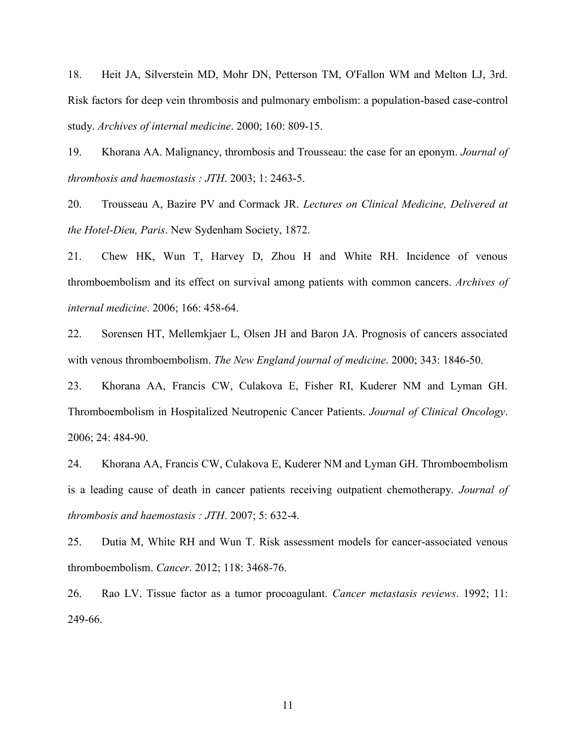18. Heit JA, Silverstein MD, Mohr DN, Petterson TM, O'Fallon WM and Melton LJ, 3rd. Risk factors for deep vein thrombosis and pulmonary embolism: a population-based case-control study. *Archives of internal medicine*. 2000; 160: 809-15.

19. Khorana AA. Malignancy, thrombosis and Trousseau: the case for an eponym. *Journal of thrombosis and haemostasis : JTH*. 2003; 1: 2463-5.

20. Trousseau A, Bazire PV and Cormack JR. *Lectures on Clinical Medicine, Delivered at the Hotel-Dieu, Paris*. New Sydenham Society, 1872.

21. Chew HK, Wun T, Harvey D, Zhou H and White RH. Incidence of venous thromboembolism and its effect on survival among patients with common cancers. *Archives of internal medicine*. 2006; 166: 458-64.

22. Sorensen HT, Mellemkjaer L, Olsen JH and Baron JA. Prognosis of cancers associated with venous thromboembolism. *The New England journal of medicine*. 2000; 343: 1846-50.

23. Khorana AA, Francis CW, Culakova E, Fisher RI, Kuderer NM and Lyman GH. Thromboembolism in Hospitalized Neutropenic Cancer Patients. *Journal of Clinical Oncology*. 2006; 24: 484-90.

24. Khorana AA, Francis CW, Culakova E, Kuderer NM and Lyman GH. Thromboembolism is a leading cause of death in cancer patients receiving outpatient chemotherapy. *Journal of thrombosis and haemostasis : JTH*. 2007; 5: 632-4.

25. Dutia M, White RH and Wun T. Risk assessment models for cancer-associated venous thromboembolism. *Cancer*. 2012; 118: 3468-76.

26. Rao LV. Tissue factor as a tumor procoagulant. *Cancer metastasis reviews*. 1992; 11: 249-66.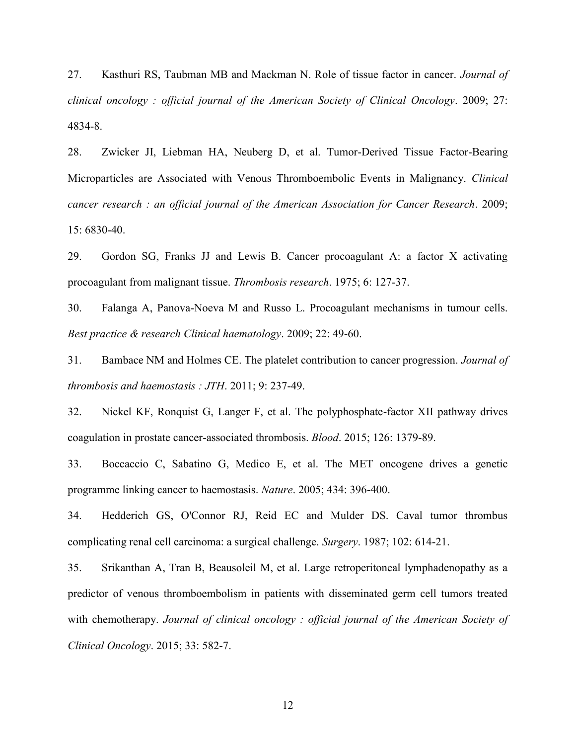27. Kasthuri RS, Taubman MB and Mackman N. Role of tissue factor in cancer. *Journal of clinical oncology : official journal of the American Society of Clinical Oncology*. 2009; 27: 4834-8.

28. Zwicker JI, Liebman HA, Neuberg D, et al. Tumor-Derived Tissue Factor-Bearing Microparticles are Associated with Venous Thromboembolic Events in Malignancy. *Clinical cancer research : an official journal of the American Association for Cancer Research*. 2009; 15: 6830-40.

29. Gordon SG, Franks JJ and Lewis B. Cancer procoagulant A: a factor X activating procoagulant from malignant tissue. *Thrombosis research*. 1975; 6: 127-37.

30. Falanga A, Panova-Noeva M and Russo L. Procoagulant mechanisms in tumour cells. *Best practice & research Clinical haematology*. 2009; 22: 49-60.

31. Bambace NM and Holmes CE. The platelet contribution to cancer progression. *Journal of thrombosis and haemostasis : JTH*. 2011; 9: 237-49.

32. Nickel KF, Ronquist G, Langer F, et al. The polyphosphate-factor XII pathway drives coagulation in prostate cancer-associated thrombosis. *Blood*. 2015; 126: 1379-89.

33. Boccaccio C, Sabatino G, Medico E, et al. The MET oncogene drives a genetic programme linking cancer to haemostasis. *Nature*. 2005; 434: 396-400.

34. Hedderich GS, O'Connor RJ, Reid EC and Mulder DS. Caval tumor thrombus complicating renal cell carcinoma: a surgical challenge. *Surgery*. 1987; 102: 614-21.

35. Srikanthan A, Tran B, Beausoleil M, et al. Large retroperitoneal lymphadenopathy as a predictor of venous thromboembolism in patients with disseminated germ cell tumors treated with chemotherapy. *Journal of clinical oncology : official journal of the American Society of Clinical Oncology*. 2015; 33: 582-7.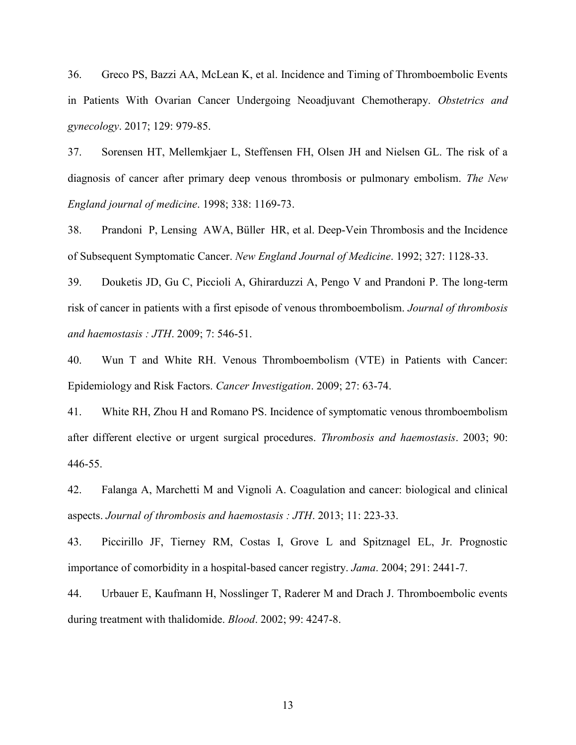36. Greco PS, Bazzi AA, McLean K, et al. Incidence and Timing of Thromboembolic Events in Patients With Ovarian Cancer Undergoing Neoadjuvant Chemotherapy. *Obstetrics and gynecology*. 2017; 129: 979-85.

37. Sorensen HT, Mellemkjaer L, Steffensen FH, Olsen JH and Nielsen GL. The risk of a diagnosis of cancer after primary deep venous thrombosis or pulmonary embolism. *The New England journal of medicine*. 1998; 338: 1169-73.

38. Prandoni P, Lensing AWA, Büller HR, et al. Deep-Vein Thrombosis and the Incidence of Subsequent Symptomatic Cancer. *New England Journal of Medicine*. 1992; 327: 1128-33.

39. Douketis JD, Gu C, Piccioli A, Ghirarduzzi A, Pengo V and Prandoni P. The long-term risk of cancer in patients with a first episode of venous thromboembolism. *Journal of thrombosis and haemostasis : JTH*. 2009; 7: 546-51.

40. Wun T and White RH. Venous Thromboembolism (VTE) in Patients with Cancer: Epidemiology and Risk Factors. *Cancer Investigation*. 2009; 27: 63-74.

41. White RH, Zhou H and Romano PS. Incidence of symptomatic venous thromboembolism after different elective or urgent surgical procedures. *Thrombosis and haemostasis*. 2003; 90: 446-55.

42. Falanga A, Marchetti M and Vignoli A. Coagulation and cancer: biological and clinical aspects. *Journal of thrombosis and haemostasis : JTH*. 2013; 11: 223-33.

43. Piccirillo JF, Tierney RM, Costas I, Grove L and Spitznagel EL, Jr. Prognostic importance of comorbidity in a hospital-based cancer registry. *Jama*. 2004; 291: 2441-7.

44. Urbauer E, Kaufmann H, Nosslinger T, Raderer M and Drach J. Thromboembolic events during treatment with thalidomide. *Blood*. 2002; 99: 4247-8.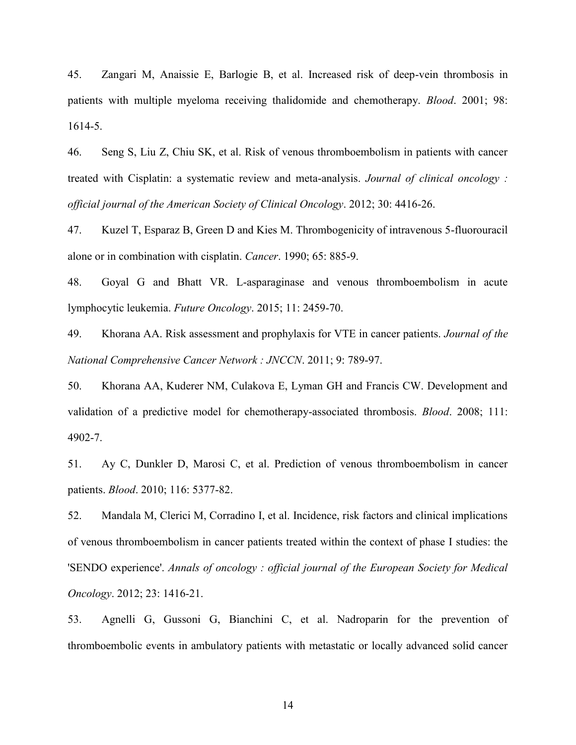45. Zangari M, Anaissie E, Barlogie B, et al. Increased risk of deep-vein thrombosis in patients with multiple myeloma receiving thalidomide and chemotherapy. *Blood*. 2001; 98: 1614-5.

46. Seng S, Liu Z, Chiu SK, et al. Risk of venous thromboembolism in patients with cancer treated with Cisplatin: a systematic review and meta-analysis. *Journal of clinical oncology : official journal of the American Society of Clinical Oncology*. 2012; 30: 4416-26.

47. Kuzel T, Esparaz B, Green D and Kies M. Thrombogenicity of intravenous 5-fluorouracil alone or in combination with cisplatin. *Cancer*. 1990; 65: 885-9.

48. Goyal G and Bhatt VR. L-asparaginase and venous thromboembolism in acute lymphocytic leukemia. *Future Oncology*. 2015; 11: 2459-70.

49. Khorana AA. Risk assessment and prophylaxis for VTE in cancer patients. *Journal of the National Comprehensive Cancer Network : JNCCN*. 2011; 9: 789-97.

50. Khorana AA, Kuderer NM, Culakova E, Lyman GH and Francis CW. Development and validation of a predictive model for chemotherapy-associated thrombosis. *Blood*. 2008; 111: 4902-7.

51. Ay C, Dunkler D, Marosi C, et al. Prediction of venous thromboembolism in cancer patients. *Blood*. 2010; 116: 5377-82.

52. Mandala M, Clerici M, Corradino I, et al. Incidence, risk factors and clinical implications of venous thromboembolism in cancer patients treated within the context of phase I studies: the 'SENDO experience'. *Annals of oncology : official journal of the European Society for Medical Oncology*. 2012; 23: 1416-21.

53. Agnelli G, Gussoni G, Bianchini C, et al. Nadroparin for the prevention of thromboembolic events in ambulatory patients with metastatic or locally advanced solid cancer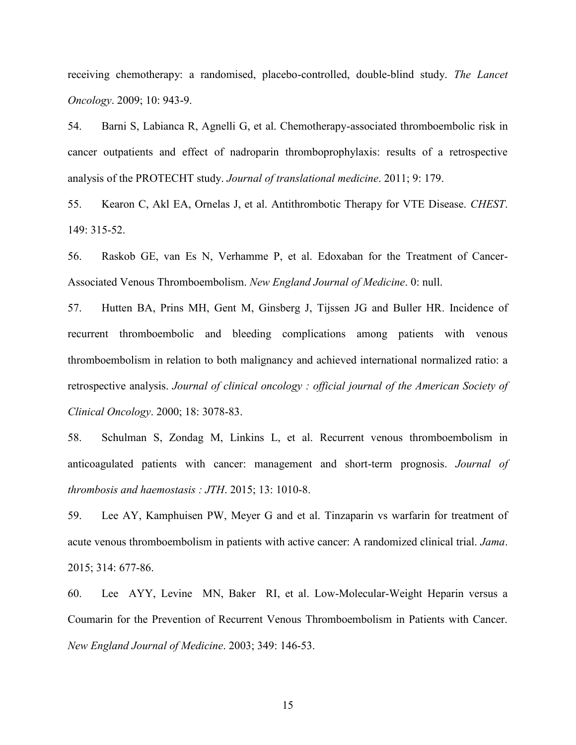receiving chemotherapy: a randomised, placebo-controlled, double-blind study. *The Lancet Oncology*. 2009; 10: 943-9.

54. Barni S, Labianca R, Agnelli G, et al. Chemotherapy-associated thromboembolic risk in cancer outpatients and effect of nadroparin thromboprophylaxis: results of a retrospective analysis of the PROTECHT study. *Journal of translational medicine*. 2011; 9: 179.

55. Kearon C, Akl EA, Ornelas J, et al. Antithrombotic Therapy for VTE Disease. *CHEST*. 149: 315-52.

56. Raskob GE, van Es N, Verhamme P, et al. Edoxaban for the Treatment of Cancer-Associated Venous Thromboembolism. *New England Journal of Medicine*. 0: null.

57. Hutten BA, Prins MH, Gent M, Ginsberg J, Tijssen JG and Buller HR. Incidence of recurrent thromboembolic and bleeding complications among patients with venous thromboembolism in relation to both malignancy and achieved international normalized ratio: a retrospective analysis. *Journal of clinical oncology : official journal of the American Society of Clinical Oncology*. 2000; 18: 3078-83.

58. Schulman S, Zondag M, Linkins L, et al. Recurrent venous thromboembolism in anticoagulated patients with cancer: management and short-term prognosis. *Journal of thrombosis and haemostasis : JTH*. 2015; 13: 1010-8.

59. Lee AY, Kamphuisen PW, Meyer G and et al. Tinzaparin vs warfarin for treatment of acute venous thromboembolism in patients with active cancer: A randomized clinical trial. *Jama*. 2015; 314: 677-86.

60. Lee AYY, Levine MN, Baker RI, et al. Low-Molecular-Weight Heparin versus a Coumarin for the Prevention of Recurrent Venous Thromboembolism in Patients with Cancer. *New England Journal of Medicine*. 2003; 349: 146-53.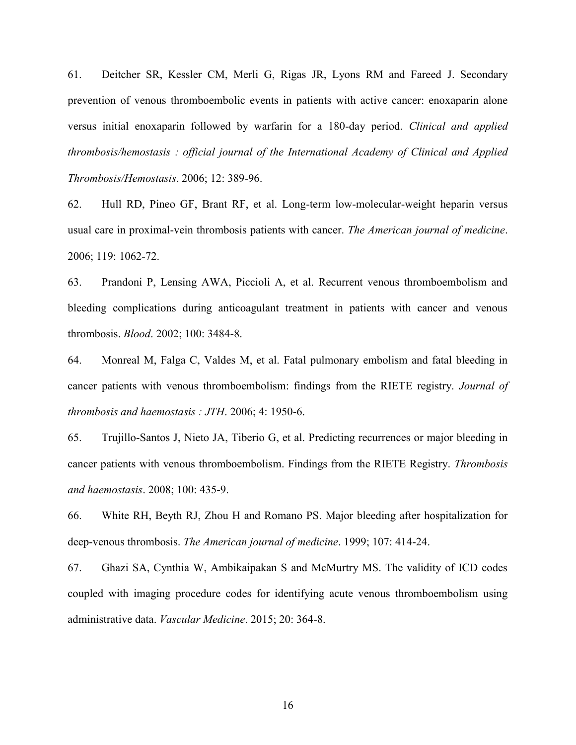61. Deitcher SR, Kessler CM, Merli G, Rigas JR, Lyons RM and Fareed J. Secondary prevention of venous thromboembolic events in patients with active cancer: enoxaparin alone versus initial enoxaparin followed by warfarin for a 180-day period. *Clinical and applied thrombosis/hemostasis : official journal of the International Academy of Clinical and Applied Thrombosis/Hemostasis*. 2006; 12: 389-96.

62. Hull RD, Pineo GF, Brant RF, et al. Long-term low-molecular-weight heparin versus usual care in proximal-vein thrombosis patients with cancer. *The American journal of medicine*. 2006; 119: 1062-72.

63. Prandoni P, Lensing AWA, Piccioli A, et al. Recurrent venous thromboembolism and bleeding complications during anticoagulant treatment in patients with cancer and venous thrombosis. *Blood*. 2002; 100: 3484-8.

64. Monreal M, Falga C, Valdes M, et al. Fatal pulmonary embolism and fatal bleeding in cancer patients with venous thromboembolism: findings from the RIETE registry. *Journal of thrombosis and haemostasis : JTH*. 2006; 4: 1950-6.

65. Trujillo-Santos J, Nieto JA, Tiberio G, et al. Predicting recurrences or major bleeding in cancer patients with venous thromboembolism. Findings from the RIETE Registry. *Thrombosis and haemostasis*. 2008; 100: 435-9.

66. White RH, Beyth RJ, Zhou H and Romano PS. Major bleeding after hospitalization for deep-venous thrombosis. *The American journal of medicine*. 1999; 107: 414-24.

67. Ghazi SA, Cynthia W, Ambikaipakan S and McMurtry MS. The validity of ICD codes coupled with imaging procedure codes for identifying acute venous thromboembolism using administrative data. *Vascular Medicine*. 2015; 20: 364-8.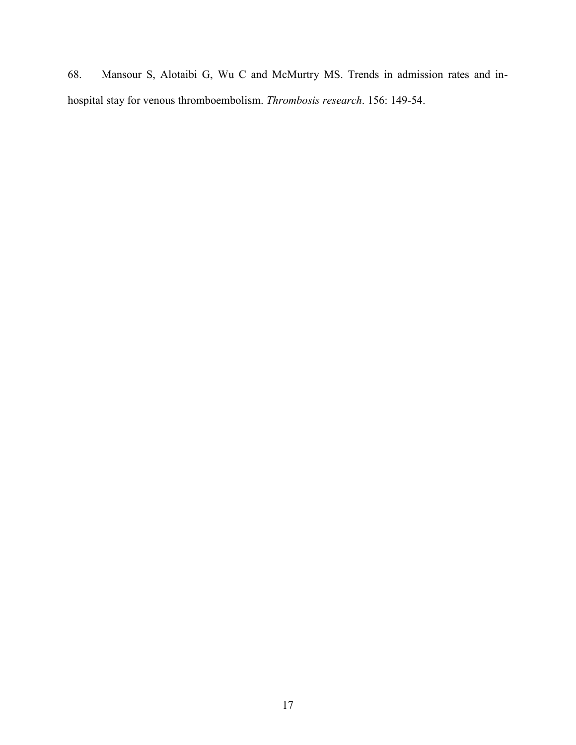68. Mansour S, Alotaibi G, Wu C and McMurtry MS. Trends in admission rates and inhospital stay for venous thromboembolism. *Thrombosis research*. 156: 149-54.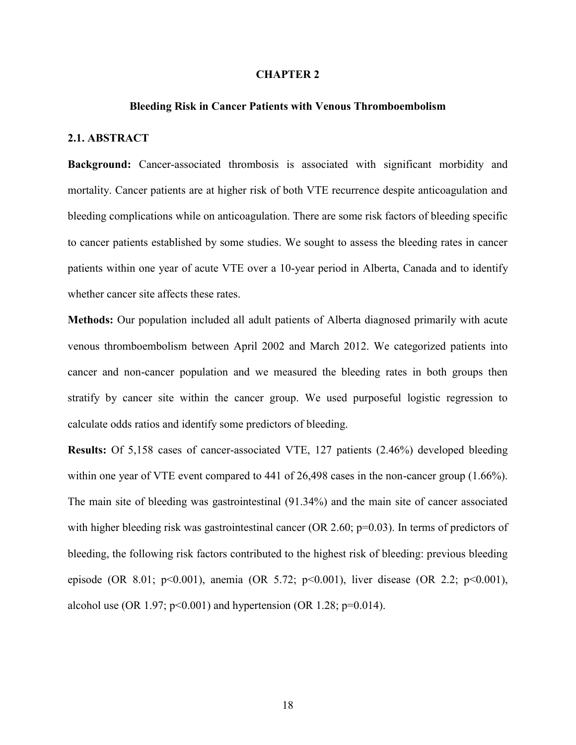## **CHAPTER 2**

## **Bleeding Risk in Cancer Patients with Venous Thromboembolism**

## <span id="page-24-2"></span><span id="page-24-1"></span><span id="page-24-0"></span>**2.1. ABSTRACT**

**Background:** Cancer-associated thrombosis is associated with significant morbidity and mortality. Cancer patients are at higher risk of both VTE recurrence despite anticoagulation and bleeding complications while on anticoagulation. There are some risk factors of bleeding specific to cancer patients established by some studies. We sought to assess the bleeding rates in cancer patients within one year of acute VTE over a 10-year period in Alberta, Canada and to identify whether cancer site affects these rates.

**Methods:** Our population included all adult patients of Alberta diagnosed primarily with acute venous thromboembolism between April 2002 and March 2012. We categorized patients into cancer and non-cancer population and we measured the bleeding rates in both groups then stratify by cancer site within the cancer group. We used purposeful logistic regression to calculate odds ratios and identify some predictors of bleeding.

**Results:** Of 5,158 cases of cancer-associated VTE, 127 patients (2.46%) developed bleeding within one year of VTE event compared to 441 of 26,498 cases in the non-cancer group (1.66%). The main site of bleeding was gastrointestinal (91.34%) and the main site of cancer associated with higher bleeding risk was gastrointestinal cancer (OR 2.60; p=0.03). In terms of predictors of bleeding, the following risk factors contributed to the highest risk of bleeding: previous bleeding episode (OR 8.01; p<0.001), anemia (OR 5.72; p<0.001), liver disease (OR 2.2; p<0.001), alcohol use (OR 1.97;  $p<0.001$ ) and hypertension (OR 1.28;  $p=0.014$ ).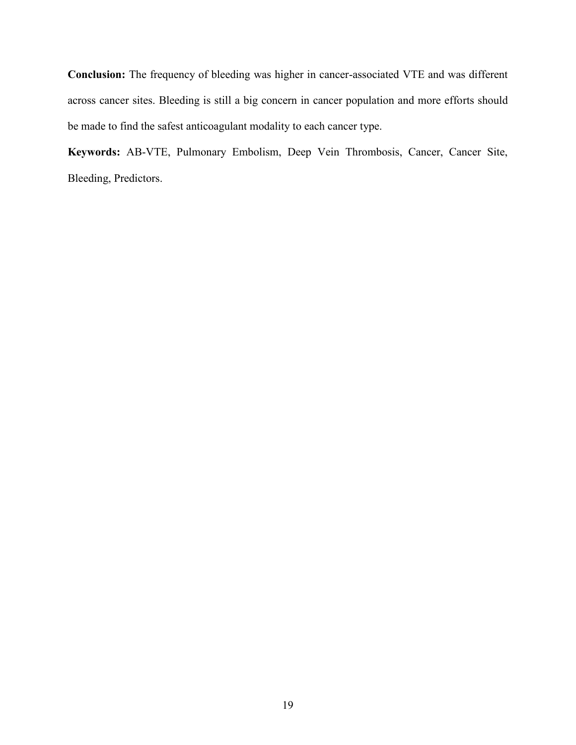**Conclusion:** The frequency of bleeding was higher in cancer-associated VTE and was different across cancer sites. Bleeding is still a big concern in cancer population and more efforts should be made to find the safest anticoagulant modality to each cancer type.

**Keywords:** AB-VTE, Pulmonary Embolism, Deep Vein Thrombosis, Cancer, Cancer Site, Bleeding, Predictors.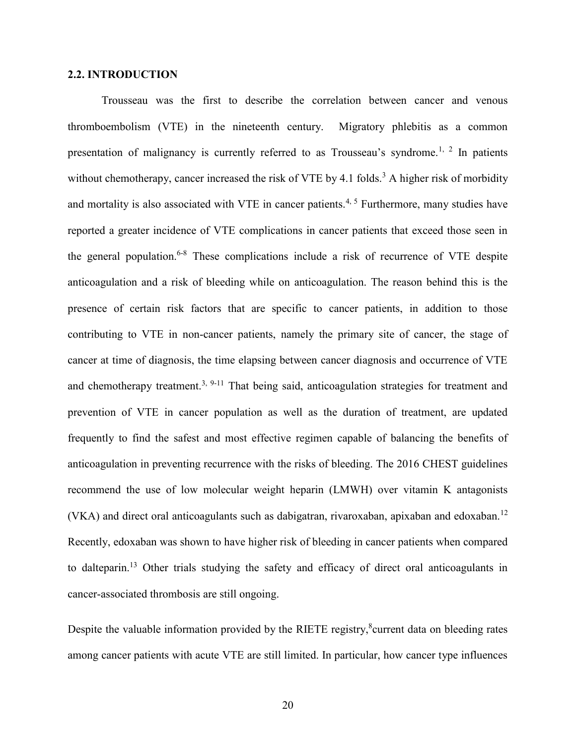## <span id="page-26-0"></span>**2.2. INTRODUCTION**

Trousseau was the first to describe the correlation between cancer and venous thromboembolism (VTE) in the nineteenth century. Migratory phlebitis as a common presentation of malignancy is currently referred to as Trousseau's syndrome.<sup>1, 2</sup> In patients without chemotherapy, cancer increased the risk of VTE by 4.1 folds.<sup>3</sup> A higher risk of morbidity and mortality is also associated with VTE in cancer patients.<sup>4, 5</sup> Furthermore, many studies have reported a greater incidence of VTE complications in cancer patients that exceed those seen in the general population.6-8 These complications include a risk of recurrence of VTE despite anticoagulation and a risk of bleeding while on anticoagulation. The reason behind this is the presence of certain risk factors that are specific to cancer patients, in addition to those contributing to VTE in non-cancer patients, namely the primary site of cancer, the stage of cancer at time of diagnosis, the time elapsing between cancer diagnosis and occurrence of VTE and chemotherapy treatment.<sup>3, 9-11</sup> That being said, anticoagulation strategies for treatment and prevention of VTE in cancer population as well as the duration of treatment, are updated frequently to find the safest and most effective regimen capable of balancing the benefits of anticoagulation in preventing recurrence with the risks of bleeding. The 2016 CHEST guidelines recommend the use of low molecular weight heparin (LMWH) over vitamin K antagonists (VKA) and direct oral anticoagulants such as dabigatran, rivaroxaban, apixaban and edoxaban.<sup>12</sup> Recently, edoxaban was shown to have higher risk of bleeding in cancer patients when compared to dalteparin.<sup>13</sup> Other trials studying the safety and efficacy of direct oral anticoagulants in cancer-associated thrombosis are still ongoing.

Despite the valuable information provided by the RIETE registry,<sup>8</sup>current data on bleeding rates among cancer patients with acute VTE are still limited. In particular, how cancer type influences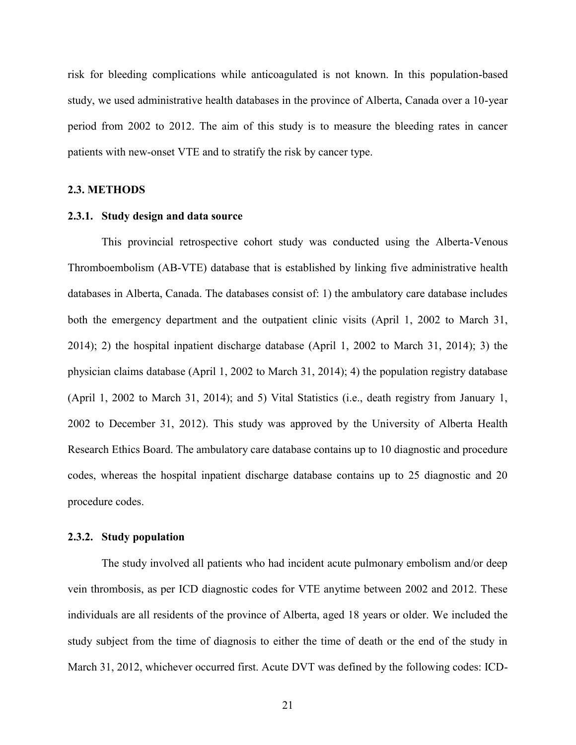risk for bleeding complications while anticoagulated is not known. In this population-based study, we used administrative health databases in the province of Alberta, Canada over a 10-year period from 2002 to 2012. The aim of this study is to measure the bleeding rates in cancer patients with new-onset VTE and to stratify the risk by cancer type.

#### <span id="page-27-0"></span>**2.3. METHODS**

#### <span id="page-27-1"></span>**2.3.1. Study design and data source**

This provincial retrospective cohort study was conducted using the Alberta-Venous Thromboembolism (AB-VTE) database that is established by linking five administrative health databases in Alberta, Canada. The databases consist of: 1) the ambulatory care database includes both the emergency department and the outpatient clinic visits (April 1, 2002 to March 31, 2014); 2) the hospital inpatient discharge database (April 1, 2002 to March 31, 2014); 3) the physician claims database (April 1, 2002 to March 31, 2014); 4) the population registry database (April 1, 2002 to March 31, 2014); and 5) Vital Statistics (i.e., death registry from January 1, 2002 to December 31, 2012). This study was approved by the University of Alberta Health Research Ethics Board. The ambulatory care database contains up to 10 diagnostic and procedure codes, whereas the hospital inpatient discharge database contains up to 25 diagnostic and 20 procedure codes.

## <span id="page-27-2"></span>**2.3.2. Study population**

The study involved all patients who had incident acute pulmonary embolism and/or deep vein thrombosis, as per ICD diagnostic codes for VTE anytime between 2002 and 2012. These individuals are all residents of the province of Alberta, aged 18 years or older. We included the study subject from the time of diagnosis to either the time of death or the end of the study in March 31, 2012, whichever occurred first. Acute DVT was defined by the following codes: ICD-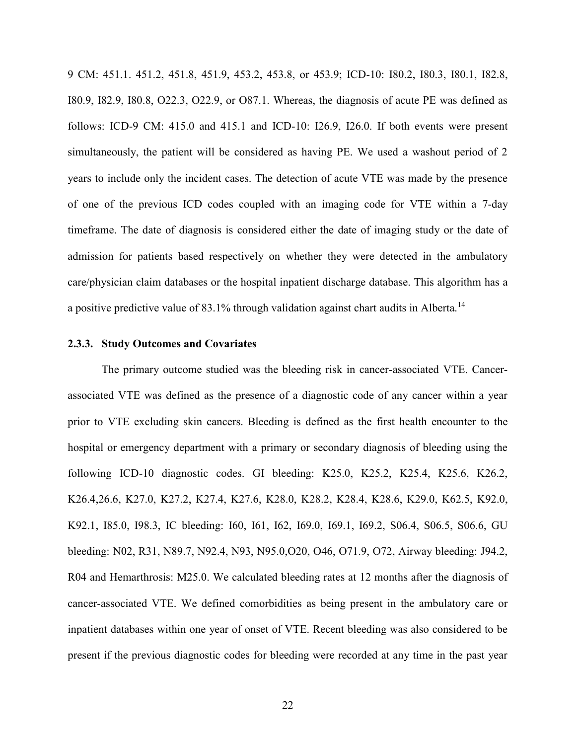9 CM: 451.1. 451.2, 451.8, 451.9, 453.2, 453.8, or 453.9; ICD-10: I80.2, I80.3, I80.1, I82.8, I80.9, I82.9, I80.8, O22.3, O22.9, or O87.1. Whereas, the diagnosis of acute PE was defined as follows: ICD-9 CM: 415.0 and 415.1 and ICD-10: I26.9, I26.0. If both events were present simultaneously, the patient will be considered as having PE. We used a washout period of 2 years to include only the incident cases. The detection of acute VTE was made by the presence of one of the previous ICD codes coupled with an imaging code for VTE within a 7-day timeframe. The date of diagnosis is considered either the date of imaging study or the date of admission for patients based respectively on whether they were detected in the ambulatory care/physician claim databases or the hospital inpatient discharge database. This algorithm has a a positive predictive value of  $83.1\%$  through validation against chart audits in Alberta.<sup>14</sup>

## <span id="page-28-0"></span>**2.3.3. Study Outcomes and Covariates**

The primary outcome studied was the bleeding risk in cancer-associated VTE. Cancerassociated VTE was defined as the presence of a diagnostic code of any cancer within a year prior to VTE excluding skin cancers. Bleeding is defined as the first health encounter to the hospital or emergency department with a primary or secondary diagnosis of bleeding using the following ICD-10 diagnostic codes. GI bleeding: K25.0, K25.2, K25.4, K25.6, K26.2, K26.4,26.6, K27.0, K27.2, K27.4, K27.6, K28.0, K28.2, K28.4, K28.6, K29.0, K62.5, K92.0, K92.1, I85.0, I98.3, IC bleeding: I60, I61, I62, I69.0, I69.1, I69.2, S06.4, S06.5, S06.6, GU bleeding: N02, R31, N89.7, N92.4, N93, N95.0,O20, O46, O71.9, O72, Airway bleeding: J94.2, R04 and Hemarthrosis: M25.0. We calculated bleeding rates at 12 months after the diagnosis of cancer-associated VTE. We defined comorbidities as being present in the ambulatory care or inpatient databases within one year of onset of VTE. Recent bleeding was also considered to be present if the previous diagnostic codes for bleeding were recorded at any time in the past year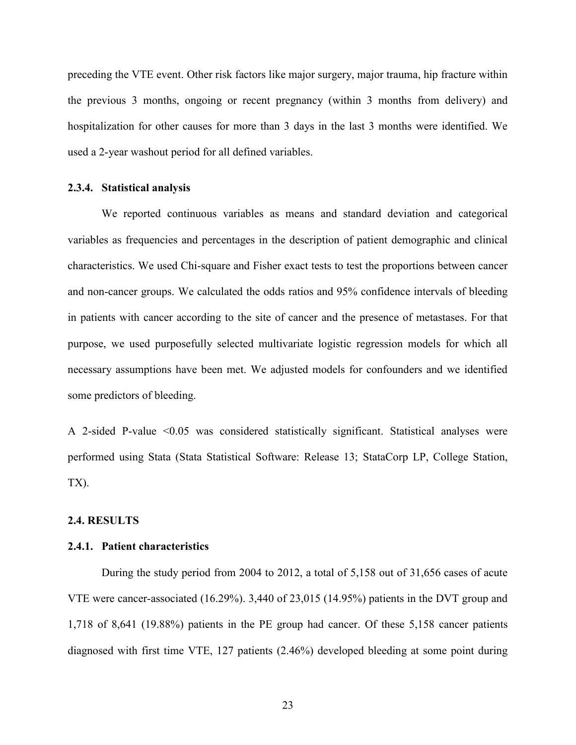preceding the VTE event. Other risk factors like major surgery, major trauma, hip fracture within the previous 3 months, ongoing or recent pregnancy (within 3 months from delivery) and hospitalization for other causes for more than 3 days in the last 3 months were identified. We used a 2-year washout period for all defined variables.

### <span id="page-29-0"></span>**2.3.4. Statistical analysis**

We reported continuous variables as means and standard deviation and categorical variables as frequencies and percentages in the description of patient demographic and clinical characteristics. We used Chi-square and Fisher exact tests to test the proportions between cancer and non-cancer groups. We calculated the odds ratios and 95% confidence intervals of bleeding in patients with cancer according to the site of cancer and the presence of metastases. For that purpose, we used purposefully selected multivariate logistic regression models for which all necessary assumptions have been met. We adjusted models for confounders and we identified some predictors of bleeding.

A 2-sided P-value <0.05 was considered statistically significant. Statistical analyses were performed using Stata (Stata Statistical Software: Release 13; StataCorp LP, College Station, TX).

#### <span id="page-29-1"></span>**2.4. RESULTS**

## <span id="page-29-2"></span>**2.4.1. Patient characteristics**

During the study period from 2004 to 2012, a total of 5,158 out of 31,656 cases of acute VTE were cancer-associated (16.29%). 3,440 of 23,015 (14.95%) patients in the DVT group and 1,718 of 8,641 (19.88%) patients in the PE group had cancer. Of these 5,158 cancer patients diagnosed with first time VTE, 127 patients (2.46%) developed bleeding at some point during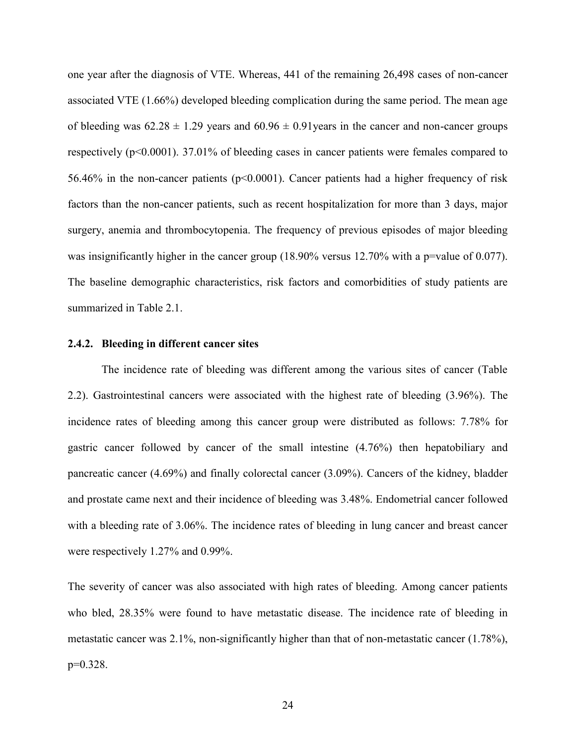one year after the diagnosis of VTE. Whereas, 441 of the remaining 26,498 cases of non-cancer associated VTE (1.66%) developed bleeding complication during the same period. The mean age of bleeding was  $62.28 \pm 1.29$  years and  $60.96 \pm 0.91$  years in the cancer and non-cancer groups respectively  $(p<0.0001)$ . 37.01% of bleeding cases in cancer patients were females compared to 56.46% in the non-cancer patients (p<0.0001). Cancer patients had a higher frequency of risk factors than the non-cancer patients, such as recent hospitalization for more than 3 days, major surgery, anemia and thrombocytopenia. The frequency of previous episodes of major bleeding was insignificantly higher in the cancer group (18.90% versus 12.70% with a p=value of 0.077). The baseline demographic characteristics, risk factors and comorbidities of study patients are summarized in Table 2.1.

## <span id="page-30-0"></span>**2.4.2. Bleeding in different cancer sites**

The incidence rate of bleeding was different among the various sites of cancer (Table 2.2). Gastrointestinal cancers were associated with the highest rate of bleeding (3.96%). The incidence rates of bleeding among this cancer group were distributed as follows: 7.78% for gastric cancer followed by cancer of the small intestine (4.76%) then hepatobiliary and pancreatic cancer (4.69%) and finally colorectal cancer (3.09%). Cancers of the kidney, bladder and prostate came next and their incidence of bleeding was 3.48%. Endometrial cancer followed with a bleeding rate of 3.06%. The incidence rates of bleeding in lung cancer and breast cancer were respectively 1.27% and 0.99%.

The severity of cancer was also associated with high rates of bleeding. Among cancer patients who bled, 28.35% were found to have metastatic disease. The incidence rate of bleeding in metastatic cancer was 2.1%, non-significantly higher than that of non-metastatic cancer (1.78%), p=0.328.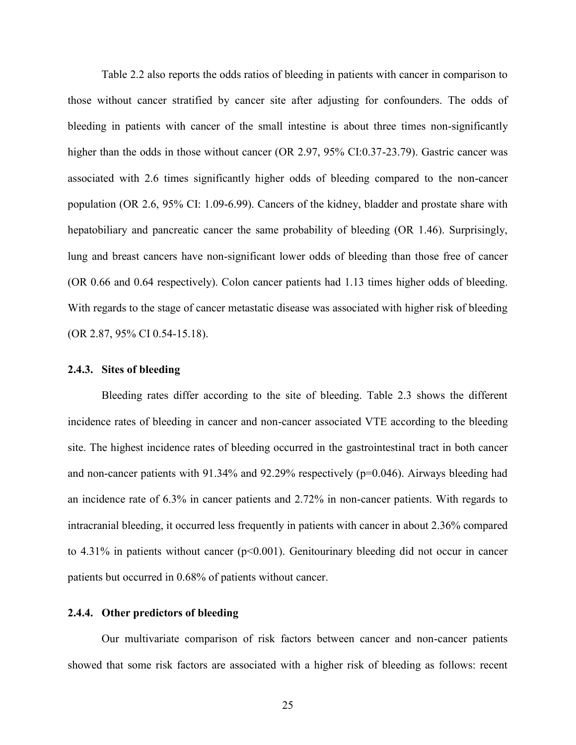Table 2.2 also reports the odds ratios of bleeding in patients with cancer in comparison to those without cancer stratified by cancer site after adjusting for confounders. The odds of bleeding in patients with cancer of the small intestine is about three times non-significantly higher than the odds in those without cancer (OR 2.97, 95% CI:0.37-23.79). Gastric cancer was associated with 2.6 times significantly higher odds of bleeding compared to the non-cancer population (OR 2.6, 95% CI: 1.09-6.99). Cancers of the kidney, bladder and prostate share with hepatobiliary and pancreatic cancer the same probability of bleeding (OR 1.46). Surprisingly, lung and breast cancers have non-significant lower odds of bleeding than those free of cancer (OR 0.66 and 0.64 respectively). Colon cancer patients had 1.13 times higher odds of bleeding. With regards to the stage of cancer metastatic disease was associated with higher risk of bleeding (OR 2.87, 95% CI 0.54-15.18).

## <span id="page-31-0"></span>**2.4.3. Sites of bleeding**

Bleeding rates differ according to the site of bleeding. Table 2.3 shows the different incidence rates of bleeding in cancer and non-cancer associated VTE according to the bleeding site. The highest incidence rates of bleeding occurred in the gastrointestinal tract in both cancer and non-cancer patients with 91.34% and 92.29% respectively (p=0.046). Airways bleeding had an incidence rate of 6.3% in cancer patients and 2.72% in non-cancer patients. With regards to intracranial bleeding, it occurred less frequently in patients with cancer in about 2.36% compared to 4.31% in patients without cancer ( $p<0.001$ ). Genitourinary bleeding did not occur in cancer patients but occurred in 0.68% of patients without cancer.

## <span id="page-31-1"></span>**2.4.4. Other predictors of bleeding**

Our multivariate comparison of risk factors between cancer and non-cancer patients showed that some risk factors are associated with a higher risk of bleeding as follows: recent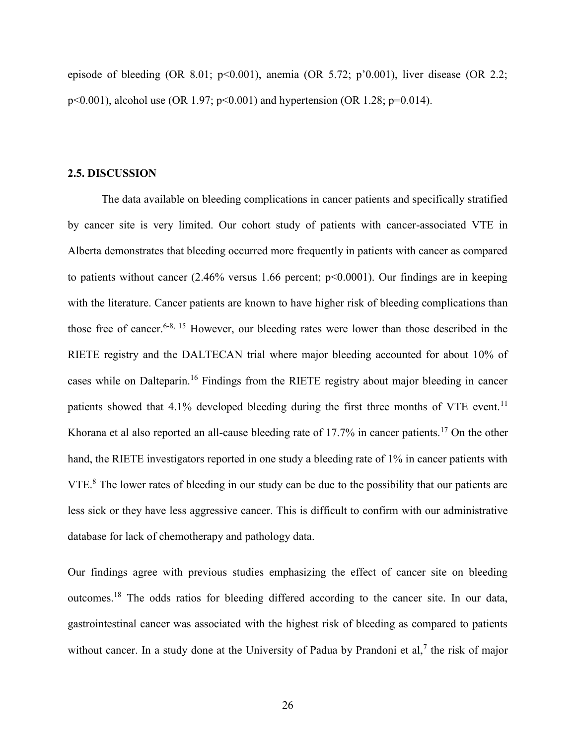episode of bleeding (OR 8.01;  $p<0.001$ ), anemia (OR 5.72;  $p'0.001$ ), liver disease (OR 2.2; p<0.001), alcohol use (OR 1.97; p<0.001) and hypertension (OR 1.28; p=0.014).

## <span id="page-32-0"></span>**2.5. DISCUSSION**

The data available on bleeding complications in cancer patients and specifically stratified by cancer site is very limited. Our cohort study of patients with cancer-associated VTE in Alberta demonstrates that bleeding occurred more frequently in patients with cancer as compared to patients without cancer  $(2.46\%$  versus 1.66 percent;  $p<0.0001$ ). Our findings are in keeping with the literature. Cancer patients are known to have higher risk of bleeding complications than those free of cancer.<sup>6-8, 15</sup> However, our bleeding rates were lower than those described in the RIETE registry and the DALTECAN trial where major bleeding accounted for about 10% of cases while on Dalteparin.<sup>16</sup> Findings from the RIETE registry about major bleeding in cancer patients showed that  $4.1\%$  developed bleeding during the first three months of VTE event.<sup>11</sup> Khorana et al also reported an all-cause bleeding rate of 17.7% in cancer patients.<sup>17</sup> On the other hand, the RIETE investigators reported in one study a bleeding rate of 1% in cancer patients with VTE.<sup>8</sup> The lower rates of bleeding in our study can be due to the possibility that our patients are less sick or they have less aggressive cancer. This is difficult to confirm with our administrative database for lack of chemotherapy and pathology data.

Our findings agree with previous studies emphasizing the effect of cancer site on bleeding outcomes.<sup>18</sup> The odds ratios for bleeding differed according to the cancer site. In our data, gastrointestinal cancer was associated with the highest risk of bleeding as compared to patients without cancer. In a study done at the University of Padua by Prandoni et al,<sup>7</sup> the risk of major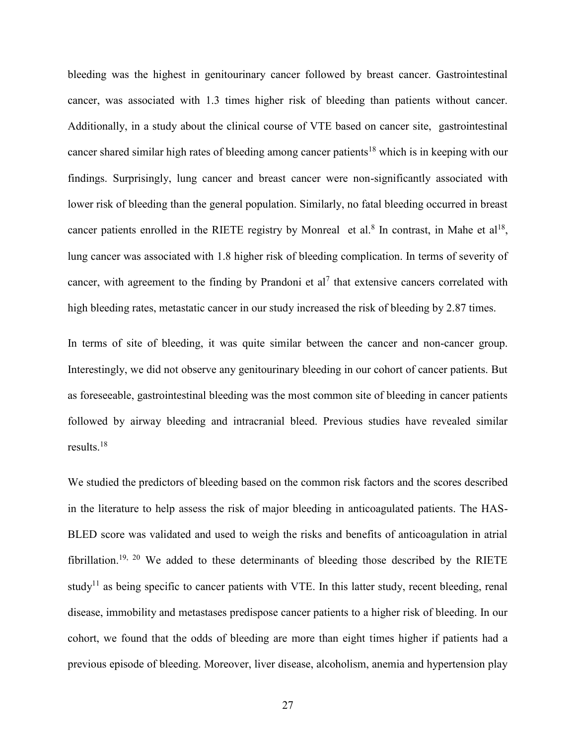bleeding was the highest in genitourinary cancer followed by breast cancer. Gastrointestinal cancer, was associated with 1.3 times higher risk of bleeding than patients without cancer. Additionally, in a study about the clinical course of VTE based on cancer site, gastrointestinal cancer shared similar high rates of bleeding among cancer patients<sup>18</sup> which is in keeping with our findings. Surprisingly, lung cancer and breast cancer were non-significantly associated with lower risk of bleeding than the general population. Similarly, no fatal bleeding occurred in breast cancer patients enrolled in the RIETE registry by Monreal et al.<sup>8</sup> In contrast, in Mahe et al<sup>18</sup>, lung cancer was associated with 1.8 higher risk of bleeding complication. In terms of severity of cancer, with agreement to the finding by Prandoni et al<sup>7</sup> that extensive cancers correlated with high bleeding rates, metastatic cancer in our study increased the risk of bleeding by 2.87 times.

In terms of site of bleeding, it was quite similar between the cancer and non-cancer group. Interestingly, we did not observe any genitourinary bleeding in our cohort of cancer patients. But as foreseeable, gastrointestinal bleeding was the most common site of bleeding in cancer patients followed by airway bleeding and intracranial bleed. Previous studies have revealed similar results.<sup>18</sup>

We studied the predictors of bleeding based on the common risk factors and the scores described in the literature to help assess the risk of major bleeding in anticoagulated patients. The HAS-BLED score was validated and used to weigh the risks and benefits of anticoagulation in atrial fibrillation.<sup>19, 20</sup> We added to these determinants of bleeding those described by the RIETE study<sup>11</sup> as being specific to cancer patients with VTE. In this latter study, recent bleeding, renal disease, immobility and metastases predispose cancer patients to a higher risk of bleeding. In our cohort, we found that the odds of bleeding are more than eight times higher if patients had a previous episode of bleeding. Moreover, liver disease, alcoholism, anemia and hypertension play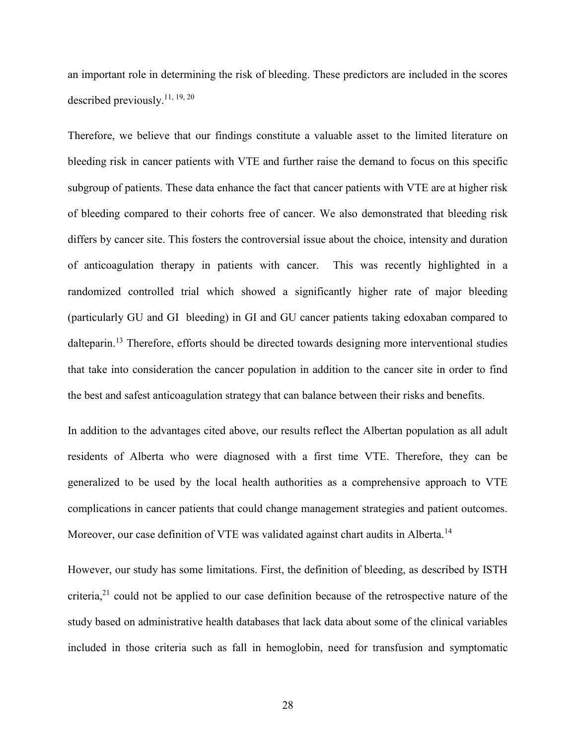an important role in determining the risk of bleeding. These predictors are included in the scores described previously.11, 19, 20

Therefore, we believe that our findings constitute a valuable asset to the limited literature on bleeding risk in cancer patients with VTE and further raise the demand to focus on this specific subgroup of patients. These data enhance the fact that cancer patients with VTE are at higher risk of bleeding compared to their cohorts free of cancer. We also demonstrated that bleeding risk differs by cancer site. This fosters the controversial issue about the choice, intensity and duration of anticoagulation therapy in patients with cancer. This was recently highlighted in a randomized controlled trial which showed a significantly higher rate of major bleeding (particularly GU and GI bleeding) in GI and GU cancer patients taking edoxaban compared to dalteparin.<sup>13</sup> Therefore, efforts should be directed towards designing more interventional studies that take into consideration the cancer population in addition to the cancer site in order to find the best and safest anticoagulation strategy that can balance between their risks and benefits.

In addition to the advantages cited above, our results reflect the Albertan population as all adult residents of Alberta who were diagnosed with a first time VTE. Therefore, they can be generalized to be used by the local health authorities as a comprehensive approach to VTE complications in cancer patients that could change management strategies and patient outcomes. Moreover, our case definition of VTE was validated against chart audits in Alberta.<sup>14</sup>

However, our study has some limitations. First, the definition of bleeding, as described by ISTH criteria,<sup>21</sup> could not be applied to our case definition because of the retrospective nature of the study based on administrative health databases that lack data about some of the clinical variables included in those criteria such as fall in hemoglobin, need for transfusion and symptomatic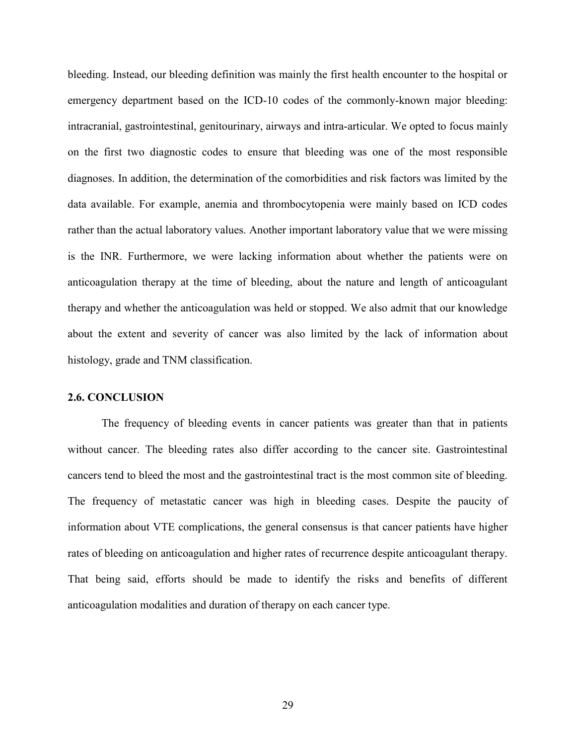bleeding. Instead, our bleeding definition was mainly the first health encounter to the hospital or emergency department based on the ICD-10 codes of the commonly-known major bleeding: intracranial, gastrointestinal, genitourinary, airways and intra-articular. We opted to focus mainly on the first two diagnostic codes to ensure that bleeding was one of the most responsible diagnoses. In addition, the determination of the comorbidities and risk factors was limited by the data available. For example, anemia and thrombocytopenia were mainly based on ICD codes rather than the actual laboratory values. Another important laboratory value that we were missing is the INR. Furthermore, we were lacking information about whether the patients were on anticoagulation therapy at the time of bleeding, about the nature and length of anticoagulant therapy and whether the anticoagulation was held or stopped. We also admit that our knowledge about the extent and severity of cancer was also limited by the lack of information about histology, grade and TNM classification.

## <span id="page-35-0"></span>**2.6. CONCLUSION**

The frequency of bleeding events in cancer patients was greater than that in patients without cancer. The bleeding rates also differ according to the cancer site. Gastrointestinal cancers tend to bleed the most and the gastrointestinal tract is the most common site of bleeding. The frequency of metastatic cancer was high in bleeding cases. Despite the paucity of information about VTE complications, the general consensus is that cancer patients have higher rates of bleeding on anticoagulation and higher rates of recurrence despite anticoagulant therapy. That being said, efforts should be made to identify the risks and benefits of different anticoagulation modalities and duration of therapy on each cancer type.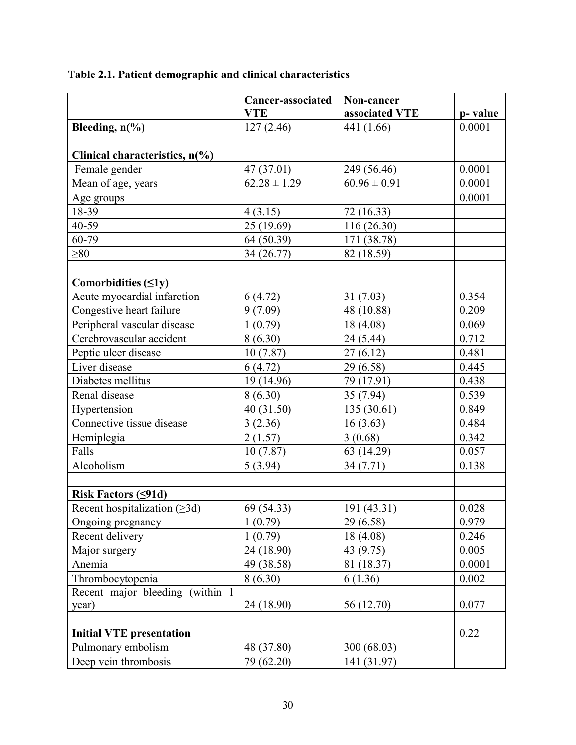|                                       | Cancer-associated | Non-cancer       |         |
|---------------------------------------|-------------------|------------------|---------|
|                                       | <b>VTE</b>        | associated VTE   | p-value |
| Bleeding, $n\left(\frac{0}{0}\right)$ | 127(2.46)         | 441 (1.66)       | 0.0001  |
|                                       |                   |                  |         |
| Clinical characteristics, n(%)        |                   |                  |         |
| Female gender                         | 47 (37.01)        | 249 (56.46)      | 0.0001  |
| Mean of age, years                    | $62.28 \pm 1.29$  | $60.96 \pm 0.91$ | 0.0001  |
| Age groups                            |                   |                  | 0.0001  |
| 18-39                                 | 4(3.15)           | 72 (16.33)       |         |
| 40-59                                 | 25(19.69)         | 116(26.30)       |         |
| 60-79                                 | 64 (50.39)        | 171 (38.78)      |         |
| $\geq 80$                             | 34 (26.77)        | 82 (18.59)       |         |
|                                       |                   |                  |         |
| Comorbidities $(\leq 1y)$             |                   |                  |         |
| Acute myocardial infarction           | 6(4.72)           | 31(7.03)         | 0.354   |
| Congestive heart failure              | 9(7.09)           | 48 (10.88)       | 0.209   |
| Peripheral vascular disease           | 1(0.79)           | 18 (4.08)        | 0.069   |
| Cerebrovascular accident              | 8(6.30)           | 24 (5.44)        | 0.712   |
| Peptic ulcer disease                  | 10(7.87)          | 27(6.12)         | 0.481   |
| Liver disease                         | 6(4.72)           | 29 (6.58)        | 0.445   |
| Diabetes mellitus                     | 19 (14.96)        | 79 (17.91)       | 0.438   |
| Renal disease                         | 8(6.30)           | 35 (7.94)        | 0.539   |
| Hypertension                          | 40 (31.50)        | 135(30.61)       | 0.849   |
| Connective tissue disease             | 3(2.36)           | 16(3.63)         | 0.484   |
| Hemiplegia                            | 2(1.57)           | 3(0.68)          | 0.342   |
| Falls                                 | 10(7.87)          | 63 (14.29)       | 0.057   |
| Alcoholism                            | 5(3.94)           | 34(7.71)         | 0.138   |
|                                       |                   |                  |         |
| Risk Factors $( \leq 91d)$            |                   |                  |         |
| Recent hospitalization $( \geq 3d)$   | 69 (54.33)        | 191(43.31)       | 0.028   |
| Ongoing pregnancy                     | 1(0.79)           | 29 (6.58)        | 0.979   |
| Recent delivery                       | 1(0.79)           | 18 (4.08)        | 0.246   |
| Major surgery                         | 24 (18.90)        | 43 (9.75)        | 0.005   |
| Anemia                                | 49 (38.58)        | 81 (18.37)       | 0.0001  |
| Thrombocytopenia                      | 8(6.30)           | 6(1.36)          | 0.002   |
| Recent major bleeding (within 1)      |                   |                  |         |
| year)                                 | 24 (18.90)        | 56 (12.70)       | 0.077   |
|                                       |                   |                  |         |
| <b>Initial VTE</b> presentation       |                   |                  | 0.22    |
| Pulmonary embolism                    | 48 (37.80)        | 300 (68.03)      |         |
| Deep vein thrombosis                  | 79 (62.20)        | 141 (31.97)      |         |

# <span id="page-36-0"></span>**Table 2.1. Patient demographic and clinical characteristics**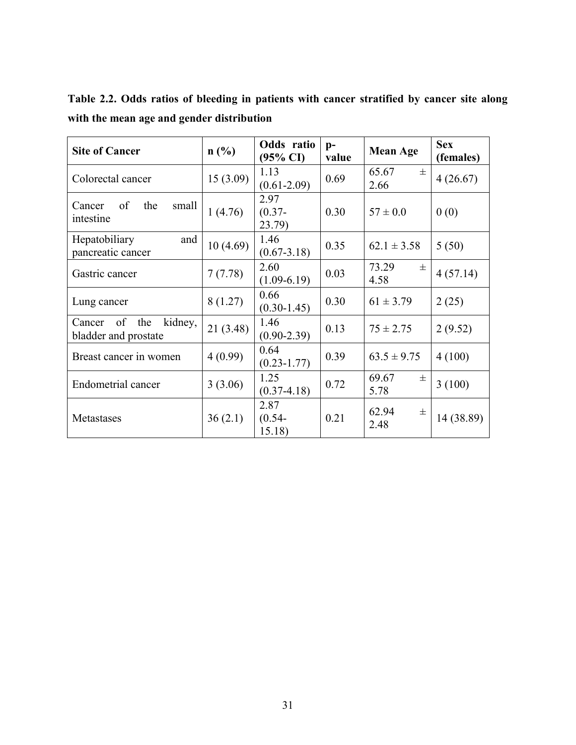<span id="page-37-0"></span>**Table 2.2. Odds ratios of bleeding in patients with cancer stratified by cancer site along with the mean age and gender distribution**

| <b>Site of Cancer</b>                                  | $n$ (%)  | Odds ratio<br>$(95\% \text{ CI})$ | $p-$<br>value | <b>Mean Age</b>        | <b>Sex</b><br>(females) |
|--------------------------------------------------------|----------|-----------------------------------|---------------|------------------------|-------------------------|
| Colorectal cancer                                      | 15(3.09) | 1.13<br>$(0.61 - 2.09)$           | 0.69          | 65.67<br>$\pm$<br>2.66 | 4(26.67)                |
| of<br>the<br>small<br>Cancer<br>intestine              | 1(4.76)  | 2.97<br>$(0.37 -$<br>23.79)       | 0.30          | $57 \pm 0.0$           | 0(0)                    |
| Hepatobiliary<br>and<br>pancreatic cancer              | 10(4.69) | 1.46<br>$(0.67 - 3.18)$           | 0.35          | $62.1 \pm 3.58$        | 5(50)                   |
| Gastric cancer                                         | 7(7.78)  | 2.60<br>$(1.09-6.19)$             | 0.03          | 73.29<br>士<br>4.58     | 4(57.14)                |
| Lung cancer                                            | 8(1.27)  | 0.66<br>$(0.30 - 1.45)$           | 0.30          | $61 \pm 3.79$          | 2(25)                   |
| the<br>kidney,<br>of<br>Cancer<br>bladder and prostate | 21(3.48) | 1.46<br>$(0.90 - 2.39)$           | 0.13          | $75 \pm 2.75$          | 2(9.52)                 |
| Breast cancer in women                                 | 4(0.99)  | 0.64<br>$(0.23 - 1.77)$           | 0.39          | $63.5 \pm 9.75$        | 4(100)                  |
| <b>Endometrial cancer</b>                              | 3(3.06)  | 1.25<br>$(0.37 - 4.18)$           | 0.72          | 69.67<br>$\pm$<br>5.78 | 3(100)                  |
| Metastases                                             | 36(2.1)  | 2.87<br>$(0.54 -$<br>15.18)       | 0.21          | 62.94<br>士<br>2.48     | 14 (38.89)              |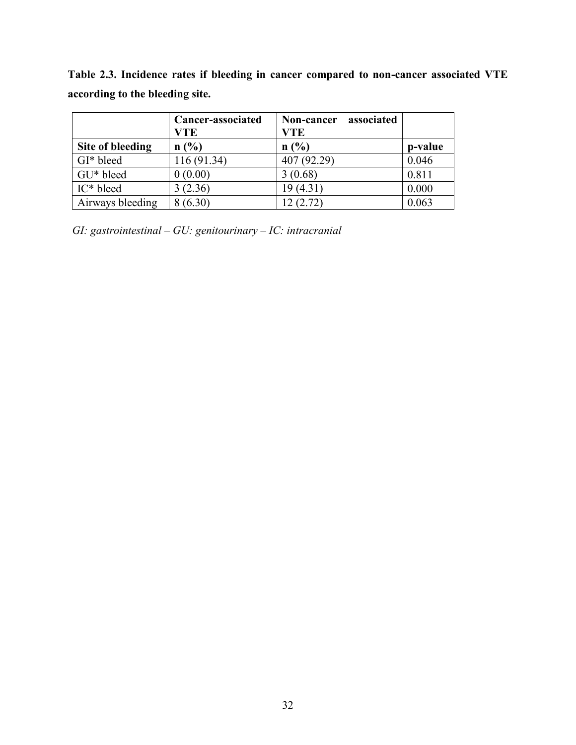<span id="page-38-0"></span>

| Table 2.3. Incidence rates if bleeding in cancer compared to non-cancer associated VTE |  |  |
|----------------------------------------------------------------------------------------|--|--|
| according to the bleeding site.                                                        |  |  |
|                                                                                        |  |  |

|                  | Cancer-associated<br><b>VTE</b> | Non-cancer associated<br><b>VTE</b> |         |
|------------------|---------------------------------|-------------------------------------|---------|
| Site of bleeding | n(%)                            | n(%)                                | p-value |
| GI* bleed        | 116 (91.34)                     | 407 (92.29)                         | 0.046   |
| GU* bleed        | 0(0.00)                         | 3(0.68)                             | 0.811   |
| IC* bleed        | 3(2.36)                         | 19(4.31)                            | 0.000   |
| Airways bleeding | 8(6.30)                         | 12(2.72)                            | 0.063   |

*GI: gastrointestinal – GU: genitourinary – IC: intracranial*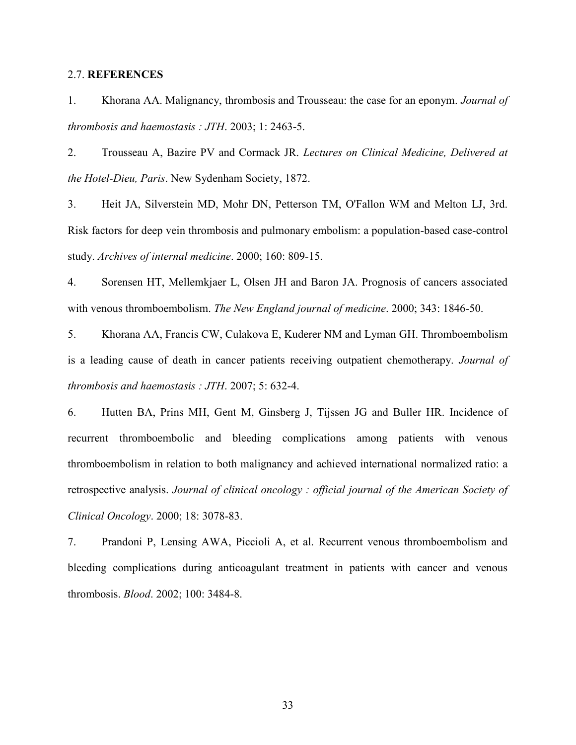## <span id="page-39-0"></span>2.7. **REFERENCES**

1. Khorana AA. Malignancy, thrombosis and Trousseau: the case for an eponym. *Journal of thrombosis and haemostasis : JTH*. 2003; 1: 2463-5.

2. Trousseau A, Bazire PV and Cormack JR. *Lectures on Clinical Medicine, Delivered at the Hotel-Dieu, Paris*. New Sydenham Society, 1872.

3. Heit JA, Silverstein MD, Mohr DN, Petterson TM, O'Fallon WM and Melton LJ, 3rd. Risk factors for deep vein thrombosis and pulmonary embolism: a population-based case-control study. *Archives of internal medicine*. 2000; 160: 809-15.

4. Sorensen HT, Mellemkjaer L, Olsen JH and Baron JA. Prognosis of cancers associated with venous thromboembolism. *The New England journal of medicine*. 2000; 343: 1846-50.

5. Khorana AA, Francis CW, Culakova E, Kuderer NM and Lyman GH. Thromboembolism is a leading cause of death in cancer patients receiving outpatient chemotherapy. *Journal of thrombosis and haemostasis : JTH*. 2007; 5: 632-4.

6. Hutten BA, Prins MH, Gent M, Ginsberg J, Tijssen JG and Buller HR. Incidence of recurrent thromboembolic and bleeding complications among patients with venous thromboembolism in relation to both malignancy and achieved international normalized ratio: a retrospective analysis. *Journal of clinical oncology : official journal of the American Society of Clinical Oncology*. 2000; 18: 3078-83.

7. Prandoni P, Lensing AWA, Piccioli A, et al. Recurrent venous thromboembolism and bleeding complications during anticoagulant treatment in patients with cancer and venous thrombosis. *Blood*. 2002; 100: 3484-8.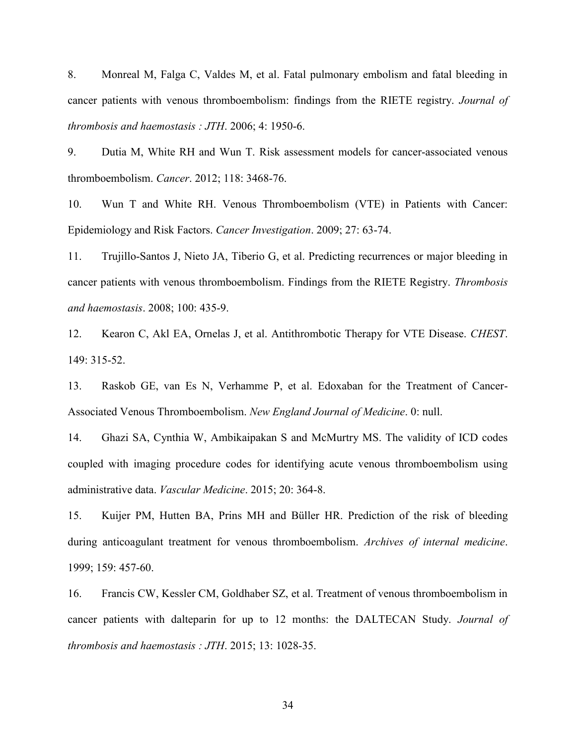8. Monreal M, Falga C, Valdes M, et al. Fatal pulmonary embolism and fatal bleeding in cancer patients with venous thromboembolism: findings from the RIETE registry. *Journal of thrombosis and haemostasis : JTH*. 2006; 4: 1950-6.

9. Dutia M, White RH and Wun T. Risk assessment models for cancer-associated venous thromboembolism. *Cancer*. 2012; 118: 3468-76.

10. Wun T and White RH. Venous Thromboembolism (VTE) in Patients with Cancer: Epidemiology and Risk Factors. *Cancer Investigation*. 2009; 27: 63-74.

11. Trujillo-Santos J, Nieto JA, Tiberio G, et al. Predicting recurrences or major bleeding in cancer patients with venous thromboembolism. Findings from the RIETE Registry. *Thrombosis and haemostasis*. 2008; 100: 435-9.

12. Kearon C, Akl EA, Ornelas J, et al. Antithrombotic Therapy for VTE Disease. *CHEST*. 149: 315-52.

13. Raskob GE, van Es N, Verhamme P, et al. Edoxaban for the Treatment of Cancer-Associated Venous Thromboembolism. *New England Journal of Medicine*. 0: null.

14. Ghazi SA, Cynthia W, Ambikaipakan S and McMurtry MS. The validity of ICD codes coupled with imaging procedure codes for identifying acute venous thromboembolism using administrative data. *Vascular Medicine*. 2015; 20: 364-8.

15. Kuijer PM, Hutten BA, Prins MH and Büller HR. Prediction of the risk of bleeding during anticoagulant treatment for venous thromboembolism. *Archives of internal medicine*. 1999; 159: 457-60.

16. Francis CW, Kessler CM, Goldhaber SZ, et al. Treatment of venous thromboembolism in cancer patients with dalteparin for up to 12 months: the DALTECAN Study. *Journal of thrombosis and haemostasis : JTH*. 2015; 13: 1028-35.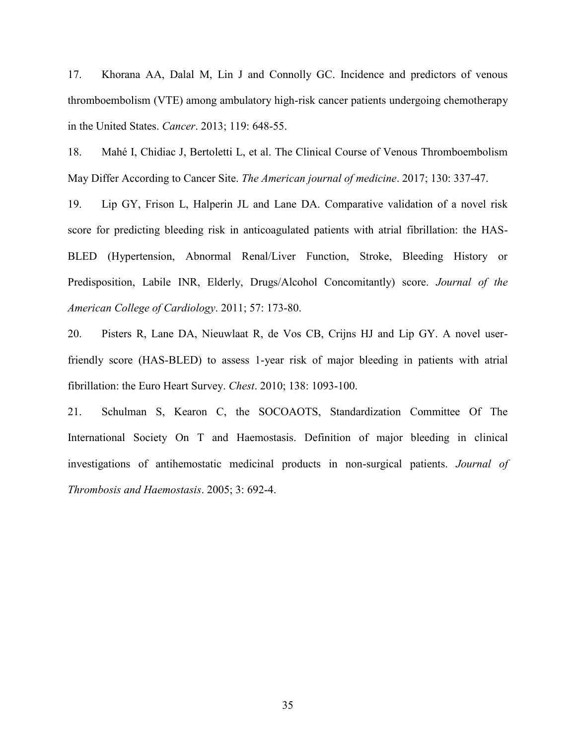17. Khorana AA, Dalal M, Lin J and Connolly GC. Incidence and predictors of venous thromboembolism (VTE) among ambulatory high-risk cancer patients undergoing chemotherapy in the United States. *Cancer*. 2013; 119: 648-55.

18. Mahé I, Chidiac J, Bertoletti L, et al. The Clinical Course of Venous Thromboembolism May Differ According to Cancer Site. *The American journal of medicine*. 2017; 130: 337-47.

19. Lip GY, Frison L, Halperin JL and Lane DA. Comparative validation of a novel risk score for predicting bleeding risk in anticoagulated patients with atrial fibrillation: the HAS-BLED (Hypertension, Abnormal Renal/Liver Function, Stroke, Bleeding History or Predisposition, Labile INR, Elderly, Drugs/Alcohol Concomitantly) score. *Journal of the American College of Cardiology*. 2011; 57: 173-80.

20. Pisters R, Lane DA, Nieuwlaat R, de Vos CB, Crijns HJ and Lip GY. A novel userfriendly score (HAS-BLED) to assess 1-year risk of major bleeding in patients with atrial fibrillation: the Euro Heart Survey. *Chest*. 2010; 138: 1093-100.

21. Schulman S, Kearon C, the SOCOAOTS, Standardization Committee Of The International Society On T and Haemostasis. Definition of major bleeding in clinical investigations of antihemostatic medicinal products in non-surgical patients. *Journal of Thrombosis and Haemostasis*. 2005; 3: 692-4.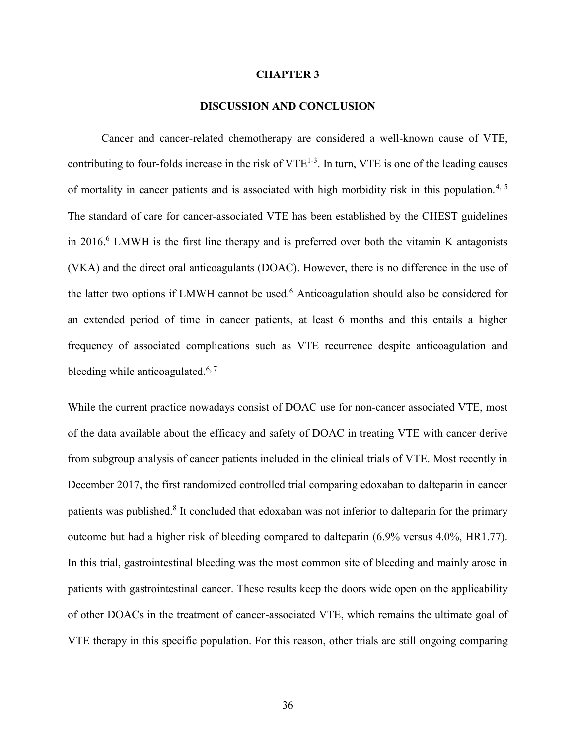#### **CHAPTER 3**

## **DISCUSSION AND CONCLUSION**

<span id="page-42-1"></span><span id="page-42-0"></span>Cancer and cancer-related chemotherapy are considered a well-known cause of VTE, contributing to four-folds increase in the risk of  $VTE^{1-3}$ . In turn, VTE is one of the leading causes of mortality in cancer patients and is associated with high morbidity risk in this population.<sup>4, 5</sup> The standard of care for cancer-associated VTE has been established by the CHEST guidelines in 2016.<sup>6</sup> LMWH is the first line therapy and is preferred over both the vitamin K antagonists (VKA) and the direct oral anticoagulants (DOAC). However, there is no difference in the use of the latter two options if LMWH cannot be used.<sup>6</sup> Anticoagulation should also be considered for an extended period of time in cancer patients, at least 6 months and this entails a higher frequency of associated complications such as VTE recurrence despite anticoagulation and bleeding while anticoagulated.<sup>6, 7</sup>

While the current practice nowadays consist of DOAC use for non-cancer associated VTE, most of the data available about the efficacy and safety of DOAC in treating VTE with cancer derive from subgroup analysis of cancer patients included in the clinical trials of VTE. Most recently in December 2017, the first randomized controlled trial comparing edoxaban to dalteparin in cancer patients was published.<sup>8</sup> It concluded that edoxaban was not inferior to dalteparin for the primary outcome but had a higher risk of bleeding compared to dalteparin (6.9% versus 4.0%, HR1.77). In this trial, gastrointestinal bleeding was the most common site of bleeding and mainly arose in patients with gastrointestinal cancer. These results keep the doors wide open on the applicability of other DOACs in the treatment of cancer-associated VTE, which remains the ultimate goal of VTE therapy in this specific population. For this reason, other trials are still ongoing comparing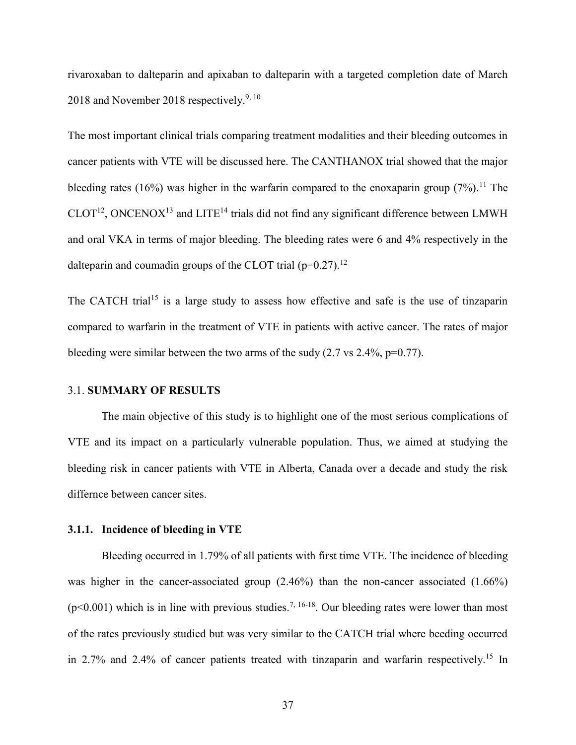rivaroxaban to dalteparin and apixaban to dalteparin with a targeted completion date of March 2018 and November 2018 respectively. $9,10$ 

The most important clinical trials comparing treatment modalities and their bleeding outcomes in cancer patients with VTE will be discussed here. The CANTHANOX trial showed that the major bleeding rates (16%) was higher in the warfarin compared to the enoxaparin group (7%).<sup>11</sup> The  $CLOT<sup>12</sup>$ , ONCENOX<sup>13</sup> and LITE<sup>14</sup> trials did not find any significant difference between LMWH and oral VKA in terms of major bleeding. The bleeding rates were 6 and 4% respectively in the dalteparin and coumadin groups of the CLOT trial ( $p=0.27$ ).<sup>12</sup>

The CATCH trial<sup>15</sup> is a large study to assess how effective and safe is the use of tinzaparin compared to warfarin in the treatment of VTE in patients with active cancer. The rates of major bleeding were similar between the two arms of the sudy  $(2.7 \text{ vs } 2.4\%, \text{p}=0.77)$ .

#### <span id="page-43-0"></span>3.1. **SUMMARY OF RESULTS**

The main objective of this study is to highlight one of the most serious complications of VTE and its impact on a particularly vulnerable population. Thus, we aimed at studying the bleeding risk in cancer patients with VTE in Alberta, Canada over a decade and study the risk differnce between cancer sites.

#### <span id="page-43-1"></span>**3.1.1. Incidence of bleeding in VTE**

Bleeding occurred in 1.79% of all patients with first time VTE. The incidence of bleeding was higher in the cancer-associated group (2.46%) than the non-cancer associated (1.66%) ( $p$ <0.001) which is in line with previous studies.<sup>7, 16-18</sup>. Our bleeding rates were lower than most of the rates previously studied but was very similar to the CATCH trial where beeding occurred in 2.7% and 2.4% of cancer patients treated with tinzaparin and warfarin respectively.<sup>15</sup> In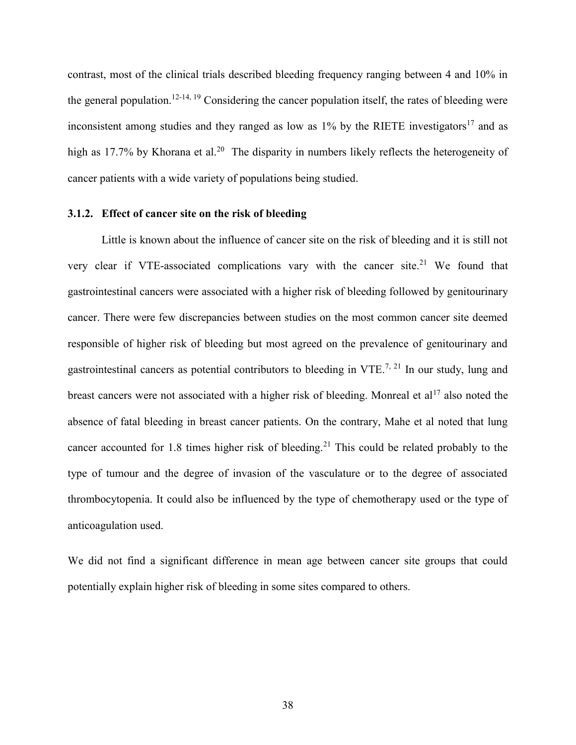contrast, most of the clinical trials described bleeding frequency ranging between 4 and 10% in the general population.<sup>12-14, 19</sup> Considering the cancer population itself, the rates of bleeding were inconsistent among studies and they ranged as low as  $1\%$  by the RIETE investigators<sup>17</sup> and as high as 17.7% by Khorana et al.<sup>20</sup> The disparity in numbers likely reflects the heterogeneity of cancer patients with a wide variety of populations being studied.

## <span id="page-44-0"></span>**3.1.2. Effect of cancer site on the risk of bleeding**

Little is known about the influence of cancer site on the risk of bleeding and it is still not very clear if VTE-associated complications vary with the cancer site.<sup>21</sup> We found that gastrointestinal cancers were associated with a higher risk of bleeding followed by genitourinary cancer. There were few discrepancies between studies on the most common cancer site deemed responsible of higher risk of bleeding but most agreed on the prevalence of genitourinary and gastrointestinal cancers as potential contributors to bleeding in VTE.<sup>7, 21</sup> In our study, lung and breast cancers were not associated with a higher risk of bleeding. Monreal et al<sup>17</sup> also noted the absence of fatal bleeding in breast cancer patients. On the contrary, Mahe et al noted that lung cancer accounted for 1.8 times higher risk of bleeding.<sup>21</sup> This could be related probably to the type of tumour and the degree of invasion of the vasculature or to the degree of associated thrombocytopenia. It could also be influenced by the type of chemotherapy used or the type of anticoagulation used.

We did not find a significant difference in mean age between cancer site groups that could potentially explain higher risk of bleeding in some sites compared to others.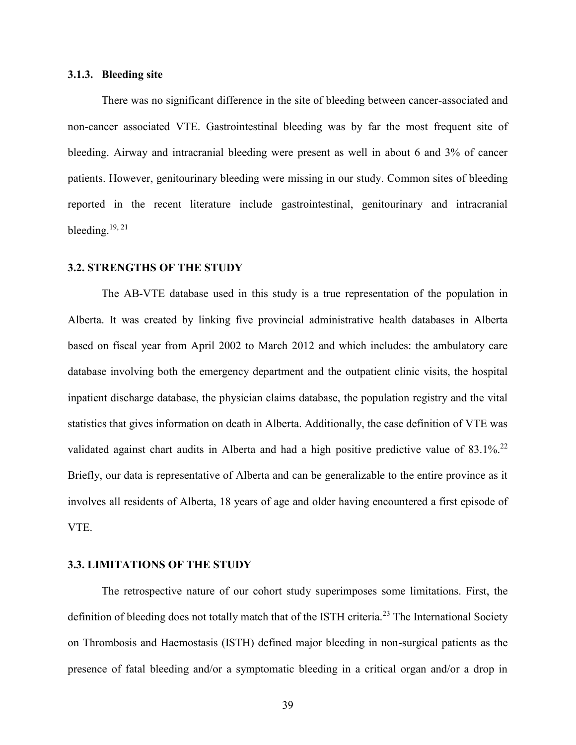#### <span id="page-45-0"></span>**3.1.3. Bleeding site**

There was no significant difference in the site of bleeding between cancer-associated and non-cancer associated VTE. Gastrointestinal bleeding was by far the most frequent site of bleeding. Airway and intracranial bleeding were present as well in about 6 and 3% of cancer patients. However, genitourinary bleeding were missing in our study. Common sites of bleeding reported in the recent literature include gastrointestinal, genitourinary and intracranial bleeding. $19, 21$ 

#### <span id="page-45-1"></span>**3.2. STRENGTHS OF THE STUDY**

The AB-VTE database used in this study is a true representation of the population in Alberta. It was created by linking five provincial administrative health databases in Alberta based on fiscal year from April 2002 to March 2012 and which includes: the ambulatory care database involving both the emergency department and the outpatient clinic visits, the hospital inpatient discharge database, the physician claims database, the population registry and the vital statistics that gives information on death in Alberta. Additionally, the case definition of VTE was validated against chart audits in Alberta and had a high positive predictive value of 83.1%.<sup>22</sup> Briefly, our data is representative of Alberta and can be generalizable to the entire province as it involves all residents of Alberta, 18 years of age and older having encountered a first episode of VTE.

## <span id="page-45-2"></span>**3.3. LIMITATIONS OF THE STUDY**

The retrospective nature of our cohort study superimposes some limitations. First, the definition of bleeding does not totally match that of the ISTH criteria.<sup>23</sup> The International Society on Thrombosis and Haemostasis (ISTH) defined major bleeding in non-surgical patients as the presence of fatal bleeding and/or a symptomatic bleeding in a critical organ and/or a drop in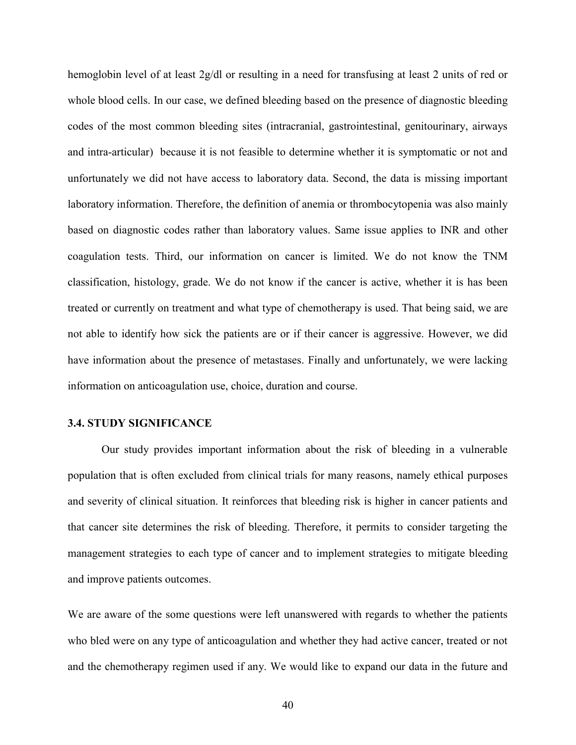hemoglobin level of at least 2g/dl or resulting in a need for transfusing at least 2 units of red or whole blood cells. In our case, we defined bleeding based on the presence of diagnostic bleeding codes of the most common bleeding sites (intracranial, gastrointestinal, genitourinary, airways and intra-articular) because it is not feasible to determine whether it is symptomatic or not and unfortunately we did not have access to laboratory data. Second, the data is missing important laboratory information. Therefore, the definition of anemia or thrombocytopenia was also mainly based on diagnostic codes rather than laboratory values. Same issue applies to INR and other coagulation tests. Third, our information on cancer is limited. We do not know the TNM classification, histology, grade. We do not know if the cancer is active, whether it is has been treated or currently on treatment and what type of chemotherapy is used. That being said, we are not able to identify how sick the patients are or if their cancer is aggressive. However, we did have information about the presence of metastases. Finally and unfortunately, we were lacking information on anticoagulation use, choice, duration and course.

## <span id="page-46-0"></span>**3.4. STUDY SIGNIFICANCE**

Our study provides important information about the risk of bleeding in a vulnerable population that is often excluded from clinical trials for many reasons, namely ethical purposes and severity of clinical situation. It reinforces that bleeding risk is higher in cancer patients and that cancer site determines the risk of bleeding. Therefore, it permits to consider targeting the management strategies to each type of cancer and to implement strategies to mitigate bleeding and improve patients outcomes.

We are aware of the some questions were left unanswered with regards to whether the patients who bled were on any type of anticoagulation and whether they had active cancer, treated or not and the chemotherapy regimen used if any. We would like to expand our data in the future and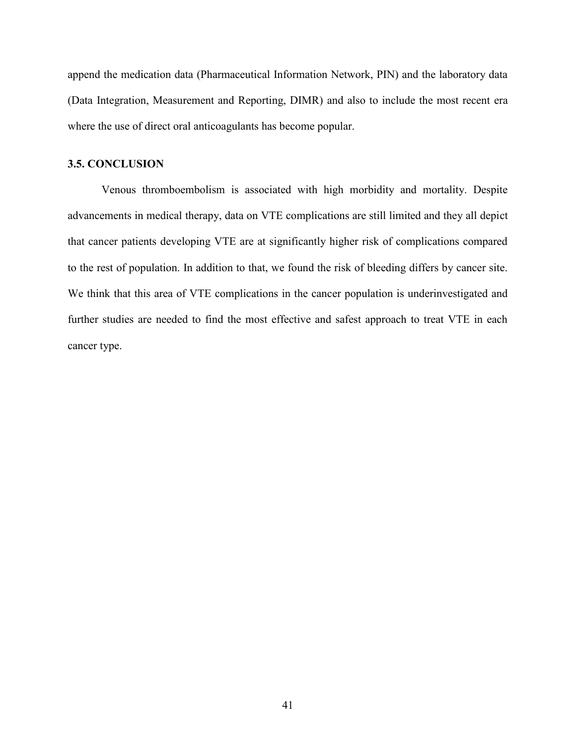append the medication data (Pharmaceutical Information Network, PIN) and the laboratory data (Data Integration, Measurement and Reporting, DIMR) and also to include the most recent era where the use of direct oral anticoagulants has become popular.

## <span id="page-47-0"></span>**3.5. CONCLUSION**

Venous thromboembolism is associated with high morbidity and mortality. Despite advancements in medical therapy, data on VTE complications are still limited and they all depict that cancer patients developing VTE are at significantly higher risk of complications compared to the rest of population. In addition to that, we found the risk of bleeding differs by cancer site. We think that this area of VTE complications in the cancer population is underinvestigated and further studies are needed to find the most effective and safest approach to treat VTE in each cancer type.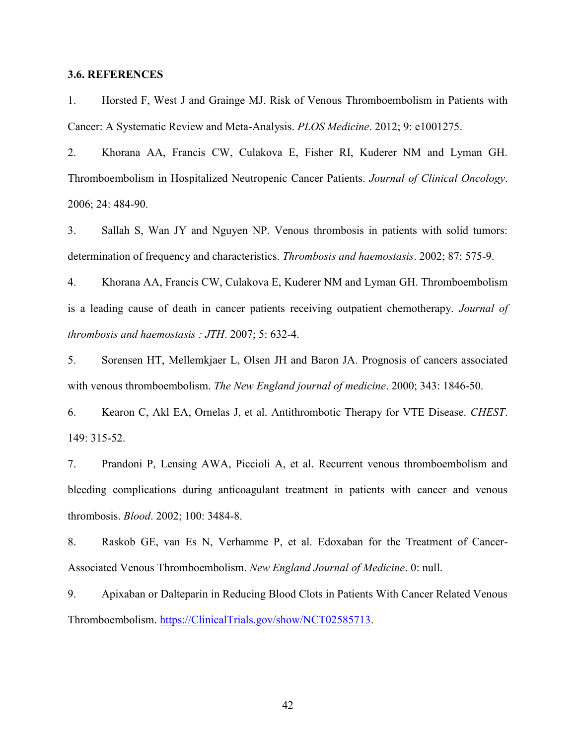## <span id="page-48-0"></span>**3.6. REFERENCES**

1. Horsted F, West J and Grainge MJ. Risk of Venous Thromboembolism in Patients with Cancer: A Systematic Review and Meta-Analysis. *PLOS Medicine*. 2012; 9: e1001275.

2. Khorana AA, Francis CW, Culakova E, Fisher RI, Kuderer NM and Lyman GH. Thromboembolism in Hospitalized Neutropenic Cancer Patients. *Journal of Clinical Oncology*. 2006; 24: 484-90.

3. Sallah S, Wan JY and Nguyen NP. Venous thrombosis in patients with solid tumors: determination of frequency and characteristics. *Thrombosis and haemostasis*. 2002; 87: 575-9.

4. Khorana AA, Francis CW, Culakova E, Kuderer NM and Lyman GH. Thromboembolism is a leading cause of death in cancer patients receiving outpatient chemotherapy. *Journal of thrombosis and haemostasis : JTH*. 2007; 5: 632-4.

5. Sorensen HT, Mellemkjaer L, Olsen JH and Baron JA. Prognosis of cancers associated with venous thromboembolism. *The New England journal of medicine*. 2000; 343: 1846-50.

6. Kearon C, Akl EA, Ornelas J, et al. Antithrombotic Therapy for VTE Disease. *CHEST*. 149: 315-52.

7. Prandoni P, Lensing AWA, Piccioli A, et al. Recurrent venous thromboembolism and bleeding complications during anticoagulant treatment in patients with cancer and venous thrombosis. *Blood*. 2002; 100: 3484-8.

8. Raskob GE, van Es N, Verhamme P, et al. Edoxaban for the Treatment of Cancer-Associated Venous Thromboembolism. *New England Journal of Medicine*. 0: null.

9. Apixaban or Dalteparin in Reducing Blood Clots in Patients With Cancer Related Venous Thromboembolism. [https://ClinicalTrials.gov/show/NCT02585713.](https://clinicaltrials.gov/show/NCT02585713)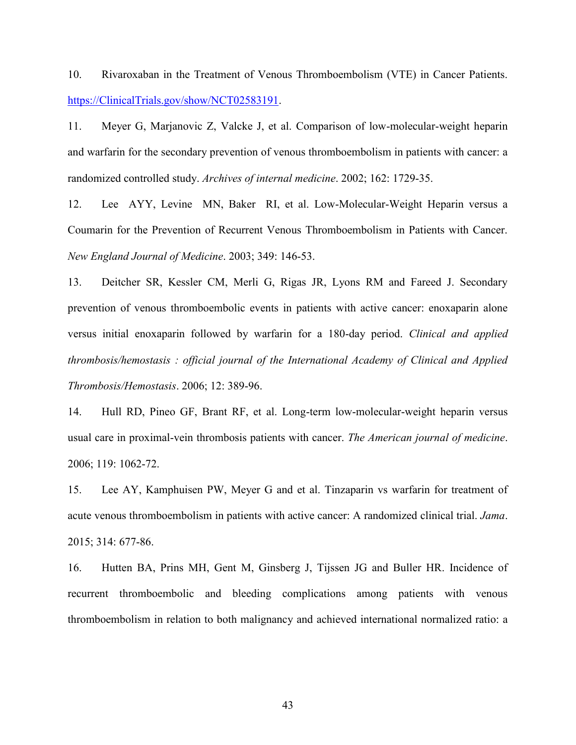10. Rivaroxaban in the Treatment of Venous Thromboembolism (VTE) in Cancer Patients. [https://ClinicalTrials.gov/show/NCT02583191.](https://clinicaltrials.gov/show/NCT02583191)

11. Meyer G, Marjanovic Z, Valcke J, et al. Comparison of low-molecular-weight heparin and warfarin for the secondary prevention of venous thromboembolism in patients with cancer: a randomized controlled study. *Archives of internal medicine*. 2002; 162: 1729-35.

12. Lee AYY, Levine MN, Baker RI, et al. Low-Molecular-Weight Heparin versus a Coumarin for the Prevention of Recurrent Venous Thromboembolism in Patients with Cancer. *New England Journal of Medicine*. 2003; 349: 146-53.

13. Deitcher SR, Kessler CM, Merli G, Rigas JR, Lyons RM and Fareed J. Secondary prevention of venous thromboembolic events in patients with active cancer: enoxaparin alone versus initial enoxaparin followed by warfarin for a 180-day period. *Clinical and applied thrombosis/hemostasis : official journal of the International Academy of Clinical and Applied Thrombosis/Hemostasis*. 2006; 12: 389-96.

14. Hull RD, Pineo GF, Brant RF, et al. Long-term low-molecular-weight heparin versus usual care in proximal-vein thrombosis patients with cancer. *The American journal of medicine*. 2006; 119: 1062-72.

15. Lee AY, Kamphuisen PW, Meyer G and et al. Tinzaparin vs warfarin for treatment of acute venous thromboembolism in patients with active cancer: A randomized clinical trial. *Jama*. 2015; 314: 677-86.

16. Hutten BA, Prins MH, Gent M, Ginsberg J, Tijssen JG and Buller HR. Incidence of recurrent thromboembolic and bleeding complications among patients with venous thromboembolism in relation to both malignancy and achieved international normalized ratio: a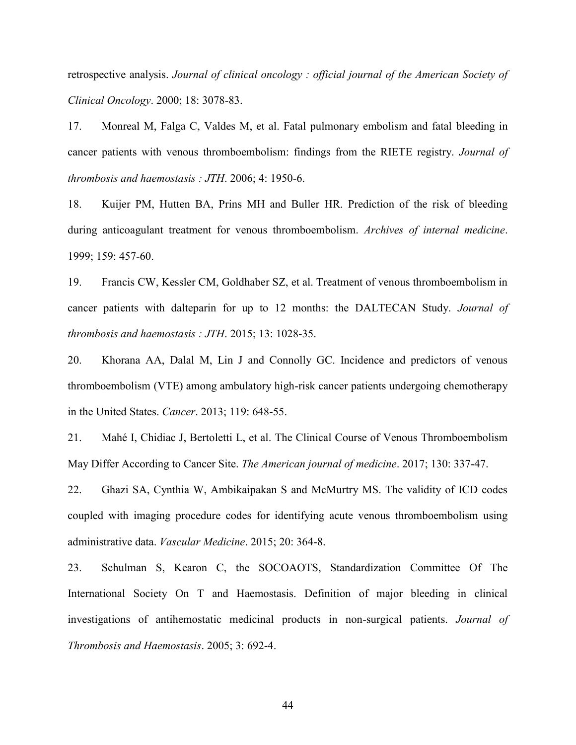retrospective analysis. *Journal of clinical oncology : official journal of the American Society of Clinical Oncology*. 2000; 18: 3078-83.

17. Monreal M, Falga C, Valdes M, et al. Fatal pulmonary embolism and fatal bleeding in cancer patients with venous thromboembolism: findings from the RIETE registry. *Journal of thrombosis and haemostasis : JTH*. 2006; 4: 1950-6.

18. Kuijer PM, Hutten BA, Prins MH and Buller HR. Prediction of the risk of bleeding during anticoagulant treatment for venous thromboembolism. *Archives of internal medicine*. 1999; 159: 457-60.

19. Francis CW, Kessler CM, Goldhaber SZ, et al. Treatment of venous thromboembolism in cancer patients with dalteparin for up to 12 months: the DALTECAN Study. *Journal of thrombosis and haemostasis : JTH*. 2015; 13: 1028-35.

20. Khorana AA, Dalal M, Lin J and Connolly GC. Incidence and predictors of venous thromboembolism (VTE) among ambulatory high-risk cancer patients undergoing chemotherapy in the United States. *Cancer*. 2013; 119: 648-55.

21. Mahé I, Chidiac J, Bertoletti L, et al. The Clinical Course of Venous Thromboembolism May Differ According to Cancer Site. *The American journal of medicine*. 2017; 130: 337-47.

22. Ghazi SA, Cynthia W, Ambikaipakan S and McMurtry MS. The validity of ICD codes coupled with imaging procedure codes for identifying acute venous thromboembolism using administrative data. *Vascular Medicine*. 2015; 20: 364-8.

23. Schulman S, Kearon C, the SOCOAOTS, Standardization Committee Of The International Society On T and Haemostasis. Definition of major bleeding in clinical investigations of antihemostatic medicinal products in non-surgical patients. *Journal of Thrombosis and Haemostasis*. 2005; 3: 692-4.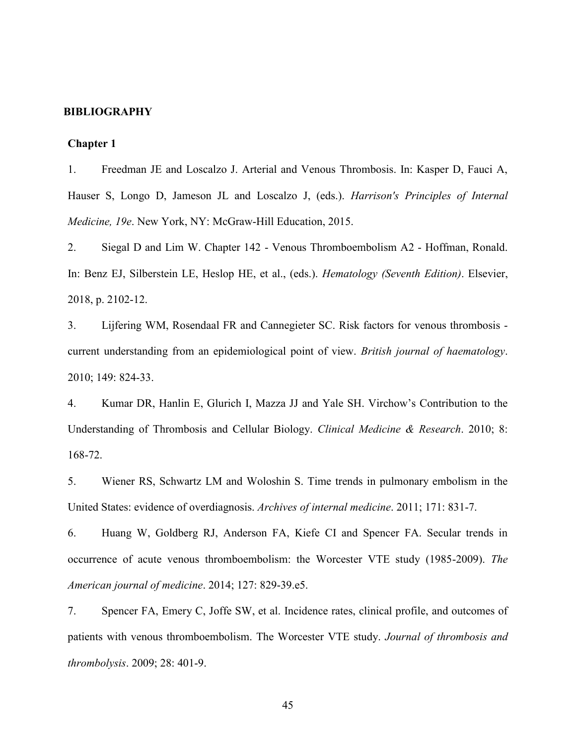#### <span id="page-51-0"></span>**BIBLIOGRAPHY**

#### <span id="page-51-1"></span>**Chapter 1**

1. Freedman JE and Loscalzo J. Arterial and Venous Thrombosis. In: Kasper D, Fauci A, Hauser S, Longo D, Jameson JL and Loscalzo J, (eds.). *Harrison's Principles of Internal Medicine, 19e*. New York, NY: McGraw-Hill Education, 2015.

2. Siegal D and Lim W. Chapter 142 - Venous Thromboembolism A2 - Hoffman, Ronald. In: Benz EJ, Silberstein LE, Heslop HE, et al., (eds.). *Hematology (Seventh Edition)*. Elsevier, 2018, p. 2102-12.

3. Lijfering WM, Rosendaal FR and Cannegieter SC. Risk factors for venous thrombosis current understanding from an epidemiological point of view. *British journal of haematology*. 2010; 149: 824-33.

4. Kumar DR, Hanlin E, Glurich I, Mazza JJ and Yale SH. Virchow's Contribution to the Understanding of Thrombosis and Cellular Biology. *Clinical Medicine & Research*. 2010; 8: 168-72.

5. Wiener RS, Schwartz LM and Woloshin S. Time trends in pulmonary embolism in the United States: evidence of overdiagnosis. *Archives of internal medicine*. 2011; 171: 831-7.

6. Huang W, Goldberg RJ, Anderson FA, Kiefe CI and Spencer FA. Secular trends in occurrence of acute venous thromboembolism: the Worcester VTE study (1985-2009). *The American journal of medicine*. 2014; 127: 829-39.e5.

7. Spencer FA, Emery C, Joffe SW, et al. Incidence rates, clinical profile, and outcomes of patients with venous thromboembolism. The Worcester VTE study. *Journal of thrombosis and thrombolysis*. 2009; 28: 401-9.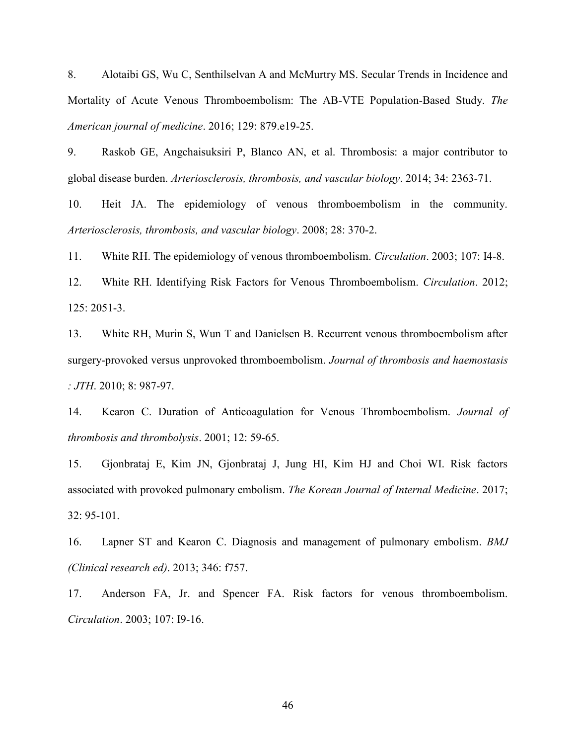8. Alotaibi GS, Wu C, Senthilselvan A and McMurtry MS. Secular Trends in Incidence and Mortality of Acute Venous Thromboembolism: The AB-VTE Population-Based Study. *The American journal of medicine*. 2016; 129: 879.e19-25.

9. Raskob GE, Angchaisuksiri P, Blanco AN, et al. Thrombosis: a major contributor to global disease burden. *Arteriosclerosis, thrombosis, and vascular biology*. 2014; 34: 2363-71.

10. Heit JA. The epidemiology of venous thromboembolism in the community. *Arteriosclerosis, thrombosis, and vascular biology*. 2008; 28: 370-2.

11. White RH. The epidemiology of venous thromboembolism. *Circulation*. 2003; 107: I4-8.

12. White RH. Identifying Risk Factors for Venous Thromboembolism. *Circulation*. 2012; 125: 2051-3.

13. White RH, Murin S, Wun T and Danielsen B. Recurrent venous thromboembolism after surgery-provoked versus unprovoked thromboembolism. *Journal of thrombosis and haemostasis : JTH*. 2010; 8: 987-97.

14. Kearon C. Duration of Anticoagulation for Venous Thromboembolism. *Journal of thrombosis and thrombolysis*. 2001; 12: 59-65.

15. Gjonbrataj E, Kim JN, Gjonbrataj J, Jung HI, Kim HJ and Choi WI. Risk factors associated with provoked pulmonary embolism. *The Korean Journal of Internal Medicine*. 2017; 32: 95-101.

16. Lapner ST and Kearon C. Diagnosis and management of pulmonary embolism. *BMJ (Clinical research ed)*. 2013; 346: f757.

17. Anderson FA, Jr. and Spencer FA. Risk factors for venous thromboembolism. *Circulation*. 2003; 107: I9-16.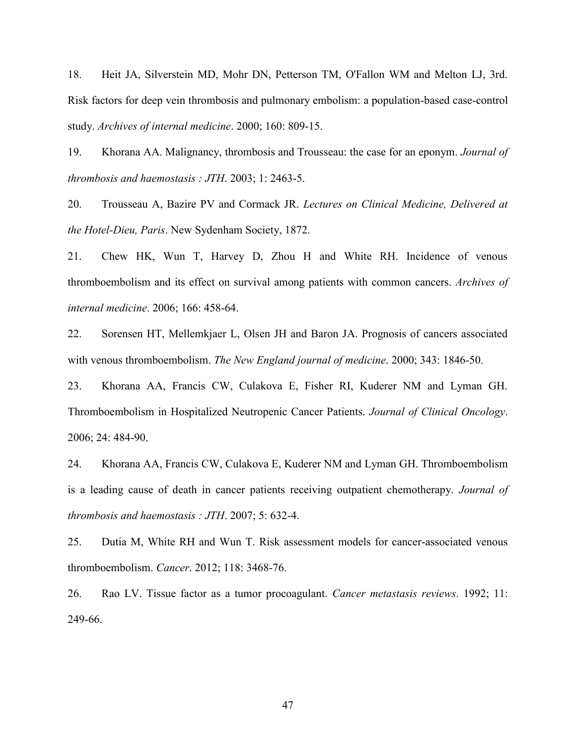18. Heit JA, Silverstein MD, Mohr DN, Petterson TM, O'Fallon WM and Melton LJ, 3rd. Risk factors for deep vein thrombosis and pulmonary embolism: a population-based case-control study. *Archives of internal medicine*. 2000; 160: 809-15.

19. Khorana AA. Malignancy, thrombosis and Trousseau: the case for an eponym. *Journal of thrombosis and haemostasis : JTH*. 2003; 1: 2463-5.

20. Trousseau A, Bazire PV and Cormack JR. *Lectures on Clinical Medicine, Delivered at the Hotel-Dieu, Paris*. New Sydenham Society, 1872.

21. Chew HK, Wun T, Harvey D, Zhou H and White RH. Incidence of venous thromboembolism and its effect on survival among patients with common cancers. *Archives of internal medicine*. 2006; 166: 458-64.

22. Sorensen HT, Mellemkjaer L, Olsen JH and Baron JA. Prognosis of cancers associated with venous thromboembolism. *The New England journal of medicine*. 2000; 343: 1846-50.

23. Khorana AA, Francis CW, Culakova E, Fisher RI, Kuderer NM and Lyman GH. Thromboembolism in Hospitalized Neutropenic Cancer Patients. *Journal of Clinical Oncology*. 2006; 24: 484-90.

24. Khorana AA, Francis CW, Culakova E, Kuderer NM and Lyman GH. Thromboembolism is a leading cause of death in cancer patients receiving outpatient chemotherapy. *Journal of thrombosis and haemostasis : JTH*. 2007; 5: 632-4.

25. Dutia M, White RH and Wun T. Risk assessment models for cancer-associated venous thromboembolism. *Cancer*. 2012; 118: 3468-76.

26. Rao LV. Tissue factor as a tumor procoagulant. *Cancer metastasis reviews*. 1992; 11: 249-66.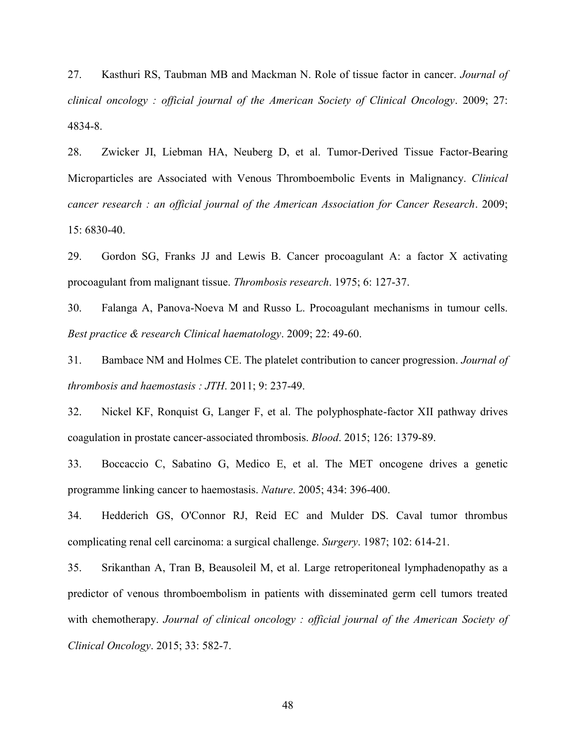27. Kasthuri RS, Taubman MB and Mackman N. Role of tissue factor in cancer. *Journal of clinical oncology : official journal of the American Society of Clinical Oncology*. 2009; 27: 4834-8.

28. Zwicker JI, Liebman HA, Neuberg D, et al. Tumor-Derived Tissue Factor-Bearing Microparticles are Associated with Venous Thromboembolic Events in Malignancy. *Clinical cancer research : an official journal of the American Association for Cancer Research*. 2009; 15: 6830-40.

29. Gordon SG, Franks JJ and Lewis B. Cancer procoagulant A: a factor X activating procoagulant from malignant tissue. *Thrombosis research*. 1975; 6: 127-37.

30. Falanga A, Panova-Noeva M and Russo L. Procoagulant mechanisms in tumour cells. *Best practice & research Clinical haematology*. 2009; 22: 49-60.

31. Bambace NM and Holmes CE. The platelet contribution to cancer progression. *Journal of thrombosis and haemostasis : JTH*. 2011; 9: 237-49.

32. Nickel KF, Ronquist G, Langer F, et al. The polyphosphate-factor XII pathway drives coagulation in prostate cancer-associated thrombosis. *Blood*. 2015; 126: 1379-89.

33. Boccaccio C, Sabatino G, Medico E, et al. The MET oncogene drives a genetic programme linking cancer to haemostasis. *Nature*. 2005; 434: 396-400.

34. Hedderich GS, O'Connor RJ, Reid EC and Mulder DS. Caval tumor thrombus complicating renal cell carcinoma: a surgical challenge. *Surgery*. 1987; 102: 614-21.

35. Srikanthan A, Tran B, Beausoleil M, et al. Large retroperitoneal lymphadenopathy as a predictor of venous thromboembolism in patients with disseminated germ cell tumors treated with chemotherapy. *Journal of clinical oncology : official journal of the American Society of Clinical Oncology*. 2015; 33: 582-7.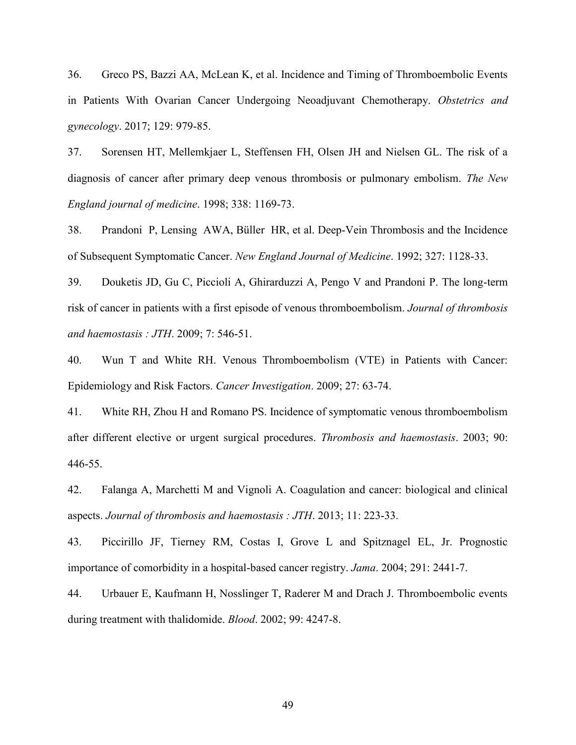36. Greco PS, Bazzi AA, McLean K, et al. Incidence and Timing of Thromboembolic Events in Patients With Ovarian Cancer Undergoing Neoadjuvant Chemotherapy. *Obstetrics and gynecology*. 2017; 129: 979-85.

37. Sorensen HT, Mellemkjaer L, Steffensen FH, Olsen JH and Nielsen GL. The risk of a diagnosis of cancer after primary deep venous thrombosis or pulmonary embolism. *The New England journal of medicine*. 1998; 338: 1169-73.

38. Prandoni P, Lensing AWA, Büller HR, et al. Deep-Vein Thrombosis and the Incidence of Subsequent Symptomatic Cancer. *New England Journal of Medicine*. 1992; 327: 1128-33.

39. Douketis JD, Gu C, Piccioli A, Ghirarduzzi A, Pengo V and Prandoni P. The long-term risk of cancer in patients with a first episode of venous thromboembolism. *Journal of thrombosis and haemostasis : JTH*. 2009; 7: 546-51.

40. Wun T and White RH. Venous Thromboembolism (VTE) in Patients with Cancer: Epidemiology and Risk Factors. *Cancer Investigation*. 2009; 27: 63-74.

41. White RH, Zhou H and Romano PS. Incidence of symptomatic venous thromboembolism after different elective or urgent surgical procedures. *Thrombosis and haemostasis*. 2003; 90: 446-55.

42. Falanga A, Marchetti M and Vignoli A. Coagulation and cancer: biological and clinical aspects. *Journal of thrombosis and haemostasis : JTH*. 2013; 11: 223-33.

43. Piccirillo JF, Tierney RM, Costas I, Grove L and Spitznagel EL, Jr. Prognostic importance of comorbidity in a hospital-based cancer registry. *Jama*. 2004; 291: 2441-7.

44. Urbauer E, Kaufmann H, Nosslinger T, Raderer M and Drach J. Thromboembolic events during treatment with thalidomide. *Blood*. 2002; 99: 4247-8.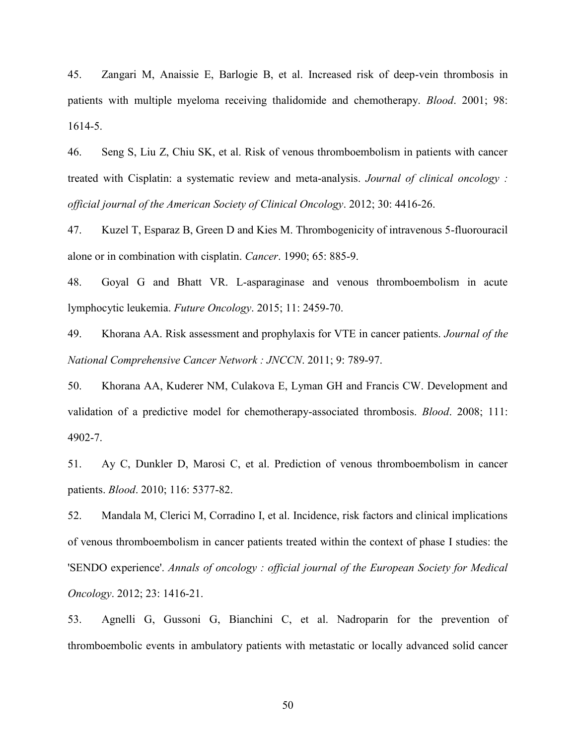45. Zangari M, Anaissie E, Barlogie B, et al. Increased risk of deep-vein thrombosis in patients with multiple myeloma receiving thalidomide and chemotherapy. *Blood*. 2001; 98: 1614-5.

46. Seng S, Liu Z, Chiu SK, et al. Risk of venous thromboembolism in patients with cancer treated with Cisplatin: a systematic review and meta-analysis. *Journal of clinical oncology : official journal of the American Society of Clinical Oncology*. 2012; 30: 4416-26.

47. Kuzel T, Esparaz B, Green D and Kies M. Thrombogenicity of intravenous 5-fluorouracil alone or in combination with cisplatin. *Cancer*. 1990; 65: 885-9.

48. Goyal G and Bhatt VR. L-asparaginase and venous thromboembolism in acute lymphocytic leukemia. *Future Oncology*. 2015; 11: 2459-70.

49. Khorana AA. Risk assessment and prophylaxis for VTE in cancer patients. *Journal of the National Comprehensive Cancer Network : JNCCN*. 2011; 9: 789-97.

50. Khorana AA, Kuderer NM, Culakova E, Lyman GH and Francis CW. Development and validation of a predictive model for chemotherapy-associated thrombosis. *Blood*. 2008; 111: 4902-7.

51. Ay C, Dunkler D, Marosi C, et al. Prediction of venous thromboembolism in cancer patients. *Blood*. 2010; 116: 5377-82.

52. Mandala M, Clerici M, Corradino I, et al. Incidence, risk factors and clinical implications of venous thromboembolism in cancer patients treated within the context of phase I studies: the 'SENDO experience'. *Annals of oncology : official journal of the European Society for Medical Oncology*. 2012; 23: 1416-21.

53. Agnelli G, Gussoni G, Bianchini C, et al. Nadroparin for the prevention of thromboembolic events in ambulatory patients with metastatic or locally advanced solid cancer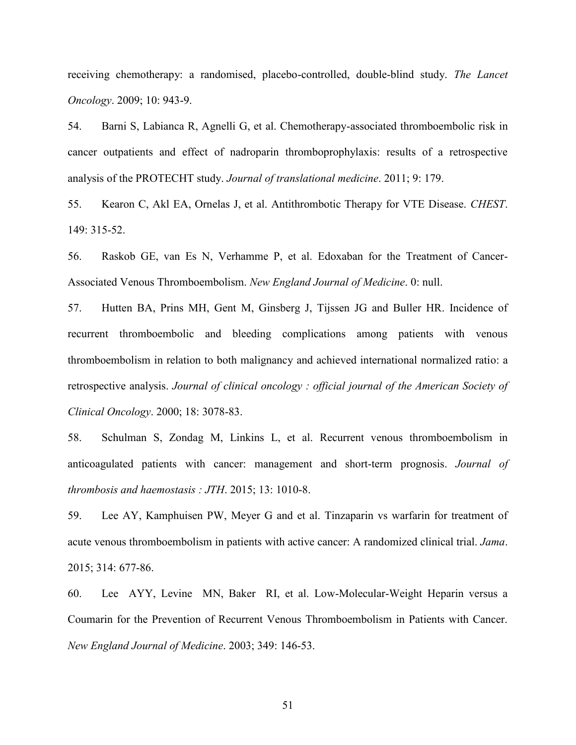receiving chemotherapy: a randomised, placebo-controlled, double-blind study. *The Lancet Oncology*. 2009; 10: 943-9.

54. Barni S, Labianca R, Agnelli G, et al. Chemotherapy-associated thromboembolic risk in cancer outpatients and effect of nadroparin thromboprophylaxis: results of a retrospective analysis of the PROTECHT study. *Journal of translational medicine*. 2011; 9: 179.

55. Kearon C, Akl EA, Ornelas J, et al. Antithrombotic Therapy for VTE Disease. *CHEST*. 149: 315-52.

56. Raskob GE, van Es N, Verhamme P, et al. Edoxaban for the Treatment of Cancer-Associated Venous Thromboembolism. *New England Journal of Medicine*. 0: null.

57. Hutten BA, Prins MH, Gent M, Ginsberg J, Tijssen JG and Buller HR. Incidence of recurrent thromboembolic and bleeding complications among patients with venous thromboembolism in relation to both malignancy and achieved international normalized ratio: a retrospective analysis. *Journal of clinical oncology : official journal of the American Society of Clinical Oncology*. 2000; 18: 3078-83.

58. Schulman S, Zondag M, Linkins L, et al. Recurrent venous thromboembolism in anticoagulated patients with cancer: management and short-term prognosis. *Journal of thrombosis and haemostasis : JTH*. 2015; 13: 1010-8.

59. Lee AY, Kamphuisen PW, Meyer G and et al. Tinzaparin vs warfarin for treatment of acute venous thromboembolism in patients with active cancer: A randomized clinical trial. *Jama*. 2015; 314: 677-86.

60. Lee AYY, Levine MN, Baker RI, et al. Low-Molecular-Weight Heparin versus a Coumarin for the Prevention of Recurrent Venous Thromboembolism in Patients with Cancer. *New England Journal of Medicine*. 2003; 349: 146-53.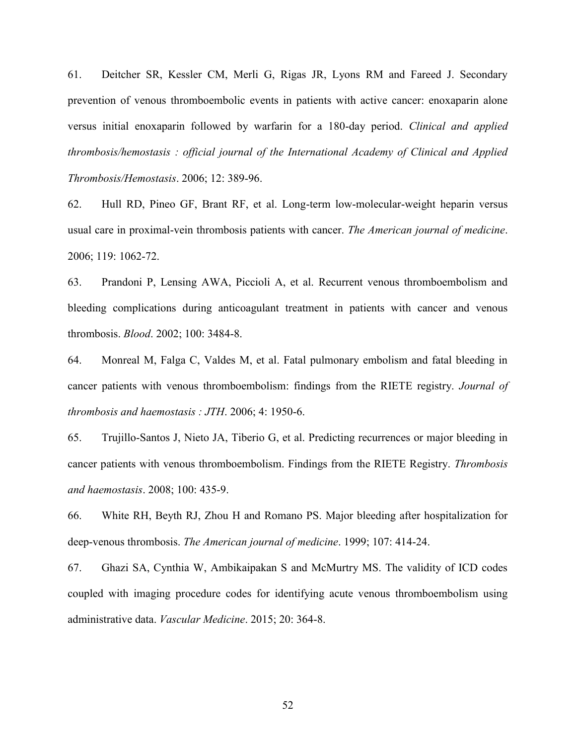61. Deitcher SR, Kessler CM, Merli G, Rigas JR, Lyons RM and Fareed J. Secondary prevention of venous thromboembolic events in patients with active cancer: enoxaparin alone versus initial enoxaparin followed by warfarin for a 180-day period. *Clinical and applied thrombosis/hemostasis : official journal of the International Academy of Clinical and Applied Thrombosis/Hemostasis*. 2006; 12: 389-96.

62. Hull RD, Pineo GF, Brant RF, et al. Long-term low-molecular-weight heparin versus usual care in proximal-vein thrombosis patients with cancer. *The American journal of medicine*. 2006; 119: 1062-72.

63. Prandoni P, Lensing AWA, Piccioli A, et al. Recurrent venous thromboembolism and bleeding complications during anticoagulant treatment in patients with cancer and venous thrombosis. *Blood*. 2002; 100: 3484-8.

64. Monreal M, Falga C, Valdes M, et al. Fatal pulmonary embolism and fatal bleeding in cancer patients with venous thromboembolism: findings from the RIETE registry. *Journal of thrombosis and haemostasis : JTH*. 2006; 4: 1950-6.

65. Trujillo-Santos J, Nieto JA, Tiberio G, et al. Predicting recurrences or major bleeding in cancer patients with venous thromboembolism. Findings from the RIETE Registry. *Thrombosis and haemostasis*. 2008; 100: 435-9.

66. White RH, Beyth RJ, Zhou H and Romano PS. Major bleeding after hospitalization for deep-venous thrombosis. *The American journal of medicine*. 1999; 107: 414-24.

67. Ghazi SA, Cynthia W, Ambikaipakan S and McMurtry MS. The validity of ICD codes coupled with imaging procedure codes for identifying acute venous thromboembolism using administrative data. *Vascular Medicine*. 2015; 20: 364-8.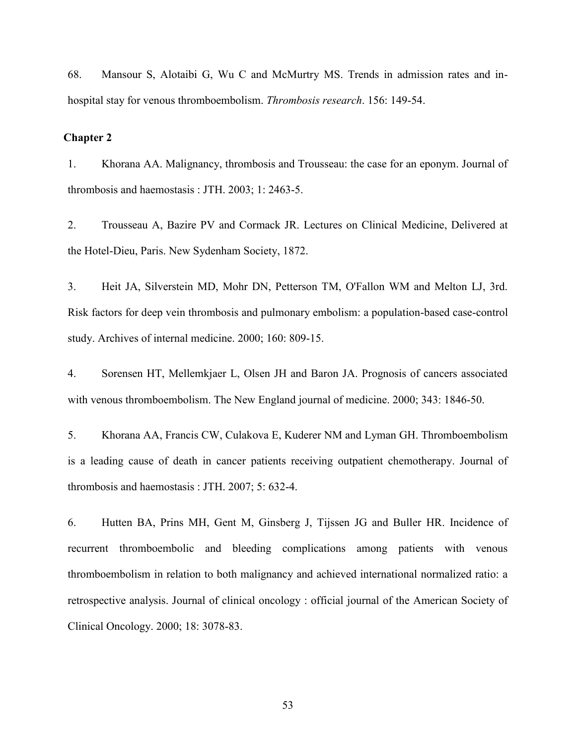68. Mansour S, Alotaibi G, Wu C and McMurtry MS. Trends in admission rates and inhospital stay for venous thromboembolism. *Thrombosis research*. 156: 149-54.

## <span id="page-59-0"></span>**Chapter 2**

1. Khorana AA. Malignancy, thrombosis and Trousseau: the case for an eponym. Journal of thrombosis and haemostasis : JTH. 2003; 1: 2463-5.

2. Trousseau A, Bazire PV and Cormack JR. Lectures on Clinical Medicine, Delivered at the Hotel-Dieu, Paris. New Sydenham Society, 1872.

3. Heit JA, Silverstein MD, Mohr DN, Petterson TM, O'Fallon WM and Melton LJ, 3rd. Risk factors for deep vein thrombosis and pulmonary embolism: a population-based case-control study. Archives of internal medicine. 2000; 160: 809-15.

4. Sorensen HT, Mellemkjaer L, Olsen JH and Baron JA. Prognosis of cancers associated with venous thromboembolism. The New England journal of medicine. 2000; 343: 1846-50.

5. Khorana AA, Francis CW, Culakova E, Kuderer NM and Lyman GH. Thromboembolism is a leading cause of death in cancer patients receiving outpatient chemotherapy. Journal of thrombosis and haemostasis : JTH. 2007; 5: 632-4.

6. Hutten BA, Prins MH, Gent M, Ginsberg J, Tijssen JG and Buller HR. Incidence of recurrent thromboembolic and bleeding complications among patients with venous thromboembolism in relation to both malignancy and achieved international normalized ratio: a retrospective analysis. Journal of clinical oncology : official journal of the American Society of Clinical Oncology. 2000; 18: 3078-83.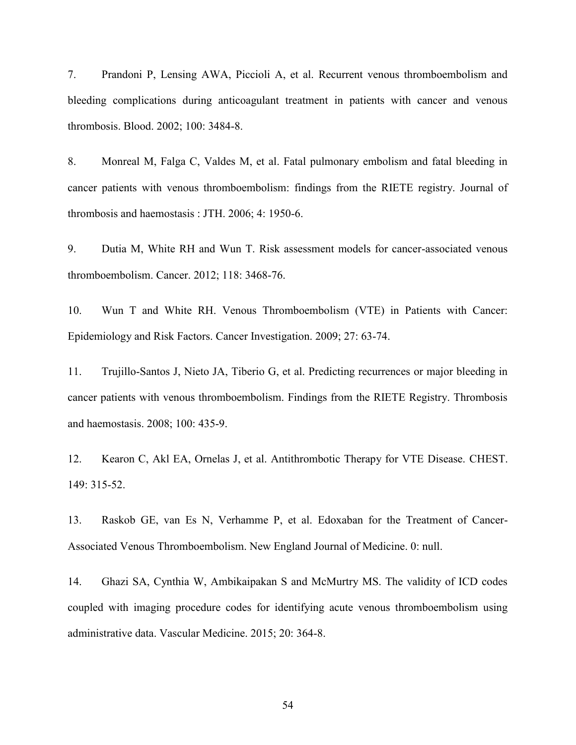7. Prandoni P, Lensing AWA, Piccioli A, et al. Recurrent venous thromboembolism and bleeding complications during anticoagulant treatment in patients with cancer and venous thrombosis. Blood. 2002; 100: 3484-8.

8. Monreal M, Falga C, Valdes M, et al. Fatal pulmonary embolism and fatal bleeding in cancer patients with venous thromboembolism: findings from the RIETE registry. Journal of thrombosis and haemostasis : JTH. 2006; 4: 1950-6.

9. Dutia M, White RH and Wun T. Risk assessment models for cancer-associated venous thromboembolism. Cancer. 2012; 118: 3468-76.

10. Wun T and White RH. Venous Thromboembolism (VTE) in Patients with Cancer: Epidemiology and Risk Factors. Cancer Investigation. 2009; 27: 63-74.

11. Trujillo-Santos J, Nieto JA, Tiberio G, et al. Predicting recurrences or major bleeding in cancer patients with venous thromboembolism. Findings from the RIETE Registry. Thrombosis and haemostasis. 2008; 100: 435-9.

12. Kearon C, Akl EA, Ornelas J, et al. Antithrombotic Therapy for VTE Disease. CHEST. 149: 315-52.

13. Raskob GE, van Es N, Verhamme P, et al. Edoxaban for the Treatment of Cancer-Associated Venous Thromboembolism. New England Journal of Medicine. 0: null.

14. Ghazi SA, Cynthia W, Ambikaipakan S and McMurtry MS. The validity of ICD codes coupled with imaging procedure codes for identifying acute venous thromboembolism using administrative data. Vascular Medicine. 2015; 20: 364-8.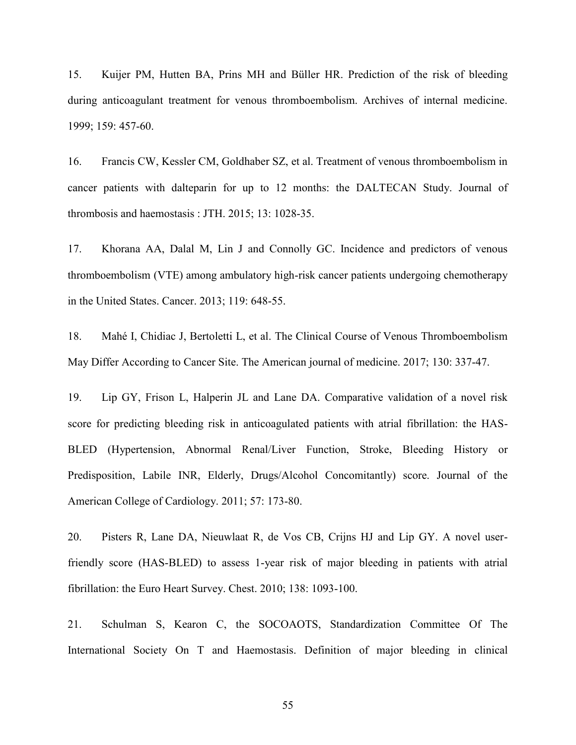15. Kuijer PM, Hutten BA, Prins MH and Büller HR. Prediction of the risk of bleeding during anticoagulant treatment for venous thromboembolism. Archives of internal medicine. 1999; 159: 457-60.

16. Francis CW, Kessler CM, Goldhaber SZ, et al. Treatment of venous thromboembolism in cancer patients with dalteparin for up to 12 months: the DALTECAN Study. Journal of thrombosis and haemostasis : JTH. 2015; 13: 1028-35.

17. Khorana AA, Dalal M, Lin J and Connolly GC. Incidence and predictors of venous thromboembolism (VTE) among ambulatory high-risk cancer patients undergoing chemotherapy in the United States. Cancer. 2013; 119: 648-55.

18. Mahé I, Chidiac J, Bertoletti L, et al. The Clinical Course of Venous Thromboembolism May Differ According to Cancer Site. The American journal of medicine. 2017; 130: 337-47.

19. Lip GY, Frison L, Halperin JL and Lane DA. Comparative validation of a novel risk score for predicting bleeding risk in anticoagulated patients with atrial fibrillation: the HAS-BLED (Hypertension, Abnormal Renal/Liver Function, Stroke, Bleeding History or Predisposition, Labile INR, Elderly, Drugs/Alcohol Concomitantly) score. Journal of the American College of Cardiology. 2011; 57: 173-80.

20. Pisters R, Lane DA, Nieuwlaat R, de Vos CB, Crijns HJ and Lip GY. A novel userfriendly score (HAS-BLED) to assess 1-year risk of major bleeding in patients with atrial fibrillation: the Euro Heart Survey. Chest. 2010; 138: 1093-100.

21. Schulman S, Kearon C, the SOCOAOTS, Standardization Committee Of The International Society On T and Haemostasis. Definition of major bleeding in clinical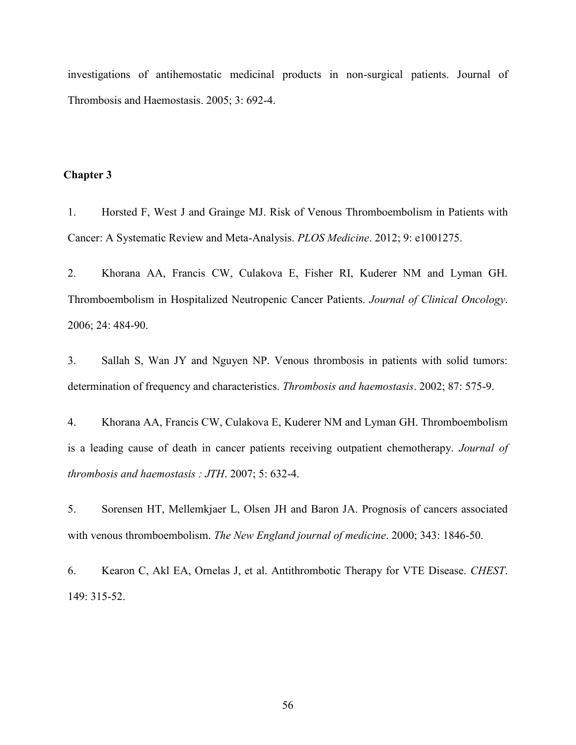investigations of antihemostatic medicinal products in non-surgical patients. Journal of Thrombosis and Haemostasis. 2005; 3: 692-4.

## <span id="page-62-0"></span>**Chapter 3**

1. Horsted F, West J and Grainge MJ. Risk of Venous Thromboembolism in Patients with Cancer: A Systematic Review and Meta-Analysis. *PLOS Medicine*. 2012; 9: e1001275.

2. Khorana AA, Francis CW, Culakova E, Fisher RI, Kuderer NM and Lyman GH. Thromboembolism in Hospitalized Neutropenic Cancer Patients. *Journal of Clinical Oncology*. 2006; 24: 484-90.

3. Sallah S, Wan JY and Nguyen NP. Venous thrombosis in patients with solid tumors: determination of frequency and characteristics. *Thrombosis and haemostasis*. 2002; 87: 575-9.

4. Khorana AA, Francis CW, Culakova E, Kuderer NM and Lyman GH. Thromboembolism is a leading cause of death in cancer patients receiving outpatient chemotherapy. *Journal of thrombosis and haemostasis : JTH*. 2007; 5: 632-4.

5. Sorensen HT, Mellemkjaer L, Olsen JH and Baron JA. Prognosis of cancers associated with venous thromboembolism. *The New England journal of medicine*. 2000; 343: 1846-50.

6. Kearon C, Akl EA, Ornelas J, et al. Antithrombotic Therapy for VTE Disease. *CHEST*. 149: 315-52.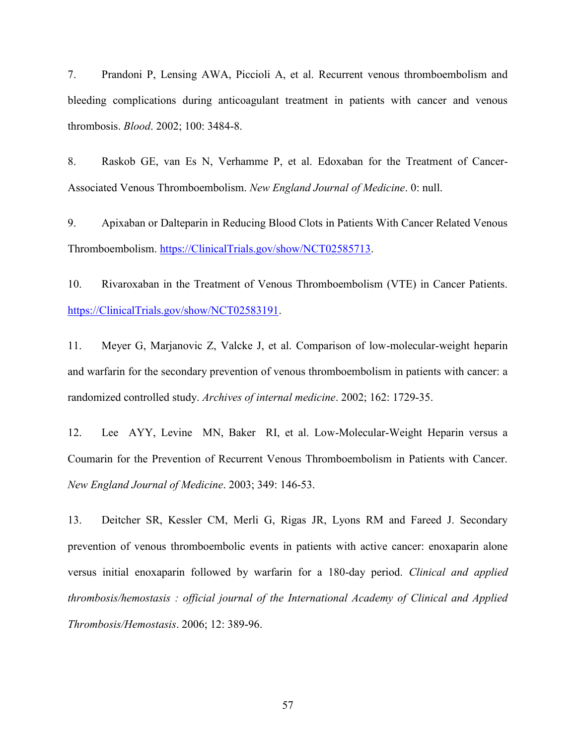7. Prandoni P, Lensing AWA, Piccioli A, et al. Recurrent venous thromboembolism and bleeding complications during anticoagulant treatment in patients with cancer and venous thrombosis. *Blood*. 2002; 100: 3484-8.

8. Raskob GE, van Es N, Verhamme P, et al. Edoxaban for the Treatment of Cancer-Associated Venous Thromboembolism. *New England Journal of Medicine*. 0: null.

9. Apixaban or Dalteparin in Reducing Blood Clots in Patients With Cancer Related Venous Thromboembolism. [https://ClinicalTrials.gov/show/NCT02585713.](https://clinicaltrials.gov/show/NCT02585713)

10. Rivaroxaban in the Treatment of Venous Thromboembolism (VTE) in Cancer Patients. [https://ClinicalTrials.gov/show/NCT02583191.](https://clinicaltrials.gov/show/NCT02583191)

11. Meyer G, Marjanovic Z, Valcke J, et al. Comparison of low-molecular-weight heparin and warfarin for the secondary prevention of venous thromboembolism in patients with cancer: a randomized controlled study. *Archives of internal medicine*. 2002; 162: 1729-35.

12. Lee AYY, Levine MN, Baker RI, et al. Low-Molecular-Weight Heparin versus a Coumarin for the Prevention of Recurrent Venous Thromboembolism in Patients with Cancer. *New England Journal of Medicine*. 2003; 349: 146-53.

13. Deitcher SR, Kessler CM, Merli G, Rigas JR, Lyons RM and Fareed J. Secondary prevention of venous thromboembolic events in patients with active cancer: enoxaparin alone versus initial enoxaparin followed by warfarin for a 180-day period. *Clinical and applied thrombosis/hemostasis : official journal of the International Academy of Clinical and Applied Thrombosis/Hemostasis*. 2006; 12: 389-96.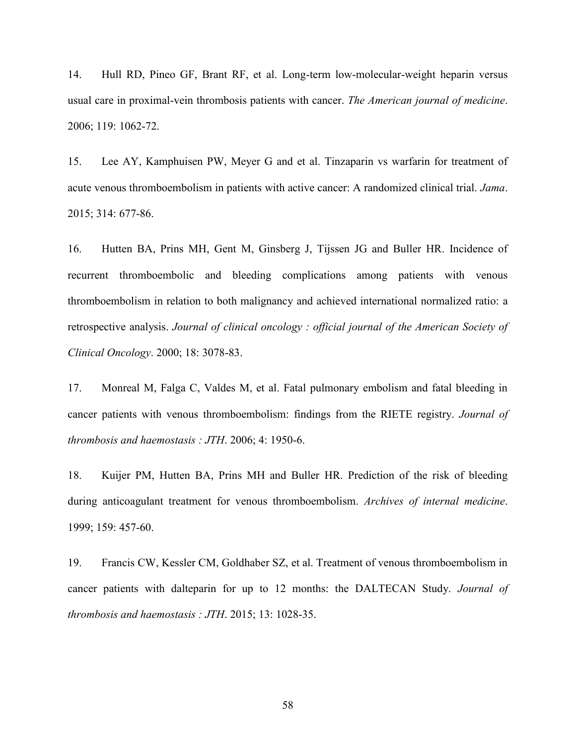14. Hull RD, Pineo GF, Brant RF, et al. Long-term low-molecular-weight heparin versus usual care in proximal-vein thrombosis patients with cancer. *The American journal of medicine*. 2006; 119: 1062-72.

15. Lee AY, Kamphuisen PW, Meyer G and et al. Tinzaparin vs warfarin for treatment of acute venous thromboembolism in patients with active cancer: A randomized clinical trial. *Jama*. 2015; 314: 677-86.

16. Hutten BA, Prins MH, Gent M, Ginsberg J, Tijssen JG and Buller HR. Incidence of recurrent thromboembolic and bleeding complications among patients with venous thromboembolism in relation to both malignancy and achieved international normalized ratio: a retrospective analysis. *Journal of clinical oncology : official journal of the American Society of Clinical Oncology*. 2000; 18: 3078-83.

17. Monreal M, Falga C, Valdes M, et al. Fatal pulmonary embolism and fatal bleeding in cancer patients with venous thromboembolism: findings from the RIETE registry. *Journal of thrombosis and haemostasis : JTH*. 2006; 4: 1950-6.

18. Kuijer PM, Hutten BA, Prins MH and Buller HR. Prediction of the risk of bleeding during anticoagulant treatment for venous thromboembolism. *Archives of internal medicine*. 1999; 159: 457-60.

19. Francis CW, Kessler CM, Goldhaber SZ, et al. Treatment of venous thromboembolism in cancer patients with dalteparin for up to 12 months: the DALTECAN Study. *Journal of thrombosis and haemostasis : JTH*. 2015; 13: 1028-35.